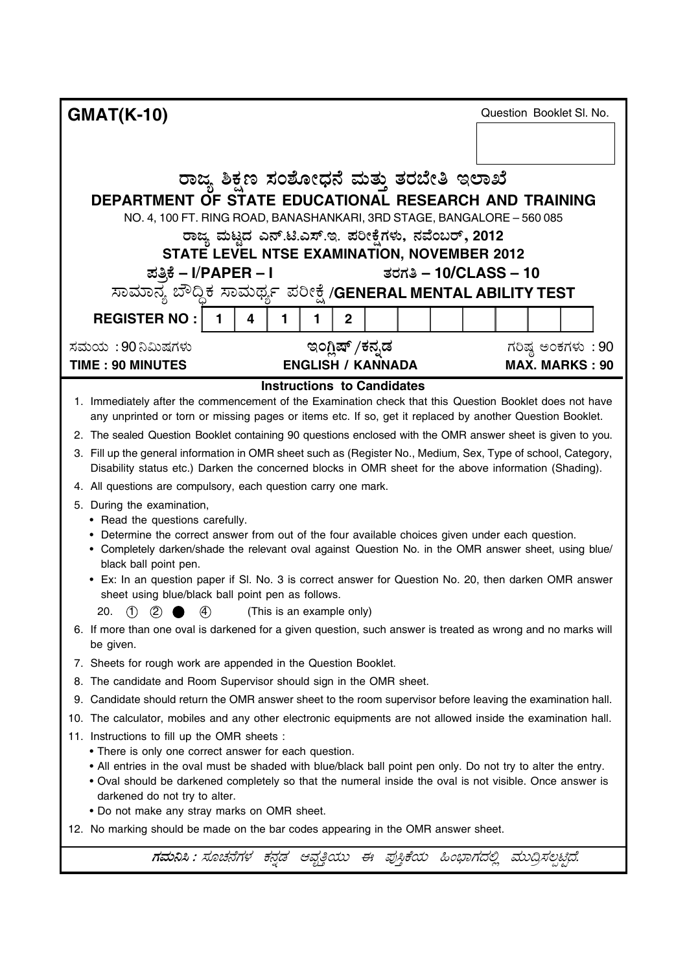| <b>GMAT(K-10)</b>                                                                                                                                                                                                       |                                                     |                                   |   |                |                          |                         |  | Question Booklet SI. No. |
|-------------------------------------------------------------------------------------------------------------------------------------------------------------------------------------------------------------------------|-----------------------------------------------------|-----------------------------------|---|----------------|--------------------------|-------------------------|--|--------------------------|
|                                                                                                                                                                                                                         |                                                     |                                   |   |                |                          |                         |  |                          |
|                                                                                                                                                                                                                         |                                                     |                                   |   |                |                          |                         |  |                          |
|                                                                                                                                                                                                                         | ರಾಜ್ಯ ಶಿಕ್ಷಣ ಸಂಶೋಧನೆ ಮತ್ತು ತರಬೇತಿ ಇಲಾಖೆ             |                                   |   |                |                          |                         |  |                          |
| DEPARTMENT OF STATE EDUCATIONAL RESEARCH AND TRAINING                                                                                                                                                                   |                                                     |                                   |   |                |                          |                         |  |                          |
| NO. 4, 100 FT. RING ROAD, BANASHANKARI, 3RD STAGE, BANGALORE - 560 085                                                                                                                                                  |                                                     |                                   |   |                |                          |                         |  |                          |
|                                                                                                                                                                                                                         | ರಾಜ್ಯ ಮಟ್ಟದ ಎನ್.ಟಿ.ಎಸ್.ಇ. ಪರೀಕ್ಷೆಗಳು, ನವೆಂಬರ್, 2012 |                                   |   |                |                          |                         |  |                          |
|                                                                                                                                                                                                                         | STATE LEVEL NTSE EXAMINATION, NOVEMBER 2012         |                                   |   |                |                          |                         |  |                          |
| ಪತ್ರಿಕೆ – I/PAPER – I                                                                                                                                                                                                   |                                                     |                                   |   |                |                          | ತರಗತಿ – $10/CLASS - 10$ |  |                          |
| ಸಾಮಾನ್ಯ ಬೌದ್ದಿಕ ಸಾಮರ್ಥ್ಯ ಪರೀಕ್ಷೆ /GENERAL MENTAL ABILITY TEST                                                                                                                                                           |                                                     |                                   |   |                |                          |                         |  |                          |
| <b>REGISTER NO:</b>                                                                                                                                                                                                     | 4                                                   | 1.                                | 1 | $\overline{2}$ |                          |                         |  |                          |
| ಸಮಯ: 90 ನಿಮಿಷಗಳು                                                                                                                                                                                                        |                                                     |                                   |   |                | ಇಂಗ್ಲಿಷ್ /ಕನ್ನಡ          |                         |  | ಗರಿಷ್ಠ ಅಂಕಗಳು : 90       |
| <b>TIME: 90 MINUTES</b>                                                                                                                                                                                                 |                                                     |                                   |   |                | <b>ENGLISH / KANNADA</b> |                         |  | <b>MAX. MARKS: 90</b>    |
|                                                                                                                                                                                                                         |                                                     | <b>Instructions to Candidates</b> |   |                |                          |                         |  |                          |
| 1. Immediately after the commencement of the Examination check that this Question Booklet does not have<br>any unprinted or torn or missing pages or items etc. If so, get it replaced by another Question Booklet.     |                                                     |                                   |   |                |                          |                         |  |                          |
| 2. The sealed Question Booklet containing 90 questions enclosed with the OMR answer sheet is given to you.                                                                                                              |                                                     |                                   |   |                |                          |                         |  |                          |
| 3. Fill up the general information in OMR sheet such as (Register No., Medium, Sex, Type of school, Category,                                                                                                           |                                                     |                                   |   |                |                          |                         |  |                          |
| Disability status etc.) Darken the concerned blocks in OMR sheet for the above information (Shading).                                                                                                                   |                                                     |                                   |   |                |                          |                         |  |                          |
| 4. All questions are compulsory, each question carry one mark.                                                                                                                                                          |                                                     |                                   |   |                |                          |                         |  |                          |
| 5. During the examination,<br>• Read the questions carefully.                                                                                                                                                           |                                                     |                                   |   |                |                          |                         |  |                          |
| Determine the correct answer from out of the four available choices given under each question.                                                                                                                          |                                                     |                                   |   |                |                          |                         |  |                          |
| • Completely darken/shade the relevant oval against Question No. in the OMR answer sheet, using blue/                                                                                                                   |                                                     |                                   |   |                |                          |                         |  |                          |
| black ball point pen.<br>• Ex: In an question paper if SI. No. 3 is correct answer for Question No. 20, then darken OMR answer                                                                                          |                                                     |                                   |   |                |                          |                         |  |                          |
| sheet using blue/black ball point pen as follows.                                                                                                                                                                       |                                                     |                                   |   |                |                          |                         |  |                          |
| 20. $(1)$ $(2)$ $(4)$ (This is an example only)                                                                                                                                                                         |                                                     |                                   |   |                |                          |                         |  |                          |
| 6. If more than one oval is darkened for a given question, such answer is treated as wrong and no marks will                                                                                                            |                                                     |                                   |   |                |                          |                         |  |                          |
| be given.<br>7. Sheets for rough work are appended in the Question Booklet.                                                                                                                                             |                                                     |                                   |   |                |                          |                         |  |                          |
| 8. The candidate and Room Supervisor should sign in the OMR sheet.                                                                                                                                                      |                                                     |                                   |   |                |                          |                         |  |                          |
| 9. Candidate should return the OMR answer sheet to the room supervisor before leaving the examination hall.                                                                                                             |                                                     |                                   |   |                |                          |                         |  |                          |
| 10. The calculator, mobiles and any other electronic equipments are not allowed inside the examination hall.                                                                                                            |                                                     |                                   |   |                |                          |                         |  |                          |
| 11. Instructions to fill up the OMR sheets :                                                                                                                                                                            |                                                     |                                   |   |                |                          |                         |  |                          |
| • There is only one correct answer for each question.                                                                                                                                                                   |                                                     |                                   |   |                |                          |                         |  |                          |
| . All entries in the oval must be shaded with blue/black ball point pen only. Do not try to alter the entry.<br>. Oval should be darkened completely so that the numeral inside the oval is not visible. Once answer is |                                                     |                                   |   |                |                          |                         |  |                          |
| darkened do not try to alter.                                                                                                                                                                                           |                                                     |                                   |   |                |                          |                         |  |                          |
| . Do not make any stray marks on OMR sheet.                                                                                                                                                                             |                                                     |                                   |   |                |                          |                         |  |                          |
| 12. No marking should be made on the bar codes appearing in the OMR answer sheet.                                                                                                                                       |                                                     |                                   |   |                |                          |                         |  |                          |
| ಗಮನಿಸಿ : ಸೂಚನೆಗಳ ಕನ್ನಡ ಆವೃತ್ತಿಯು ಈ ಪುಸ್ತಿಕೆಯ ಹಿಂಭಾಗದಲ್ಲಿ ಮುದ್ರಿಸಲ್ಪಟ್ಟಿದೆ.                                                                                                                                              |                                                     |                                   |   |                |                          |                         |  |                          |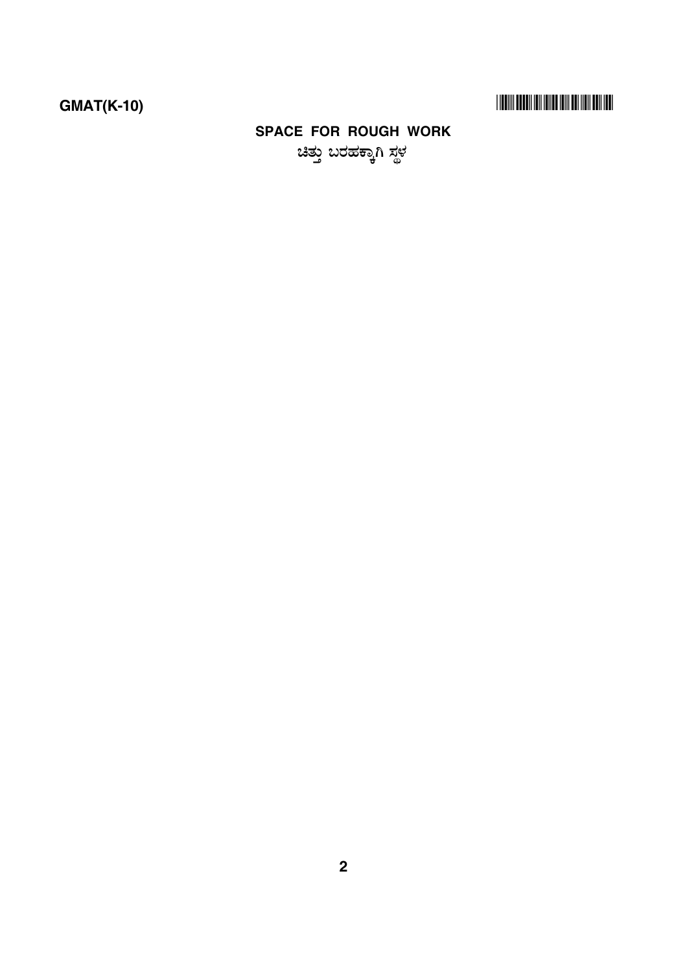## -

## **SPACE FOR ROUGH WORK** .<br>ಚಿತು ಬರಹಕಾಗಿ ಸಳ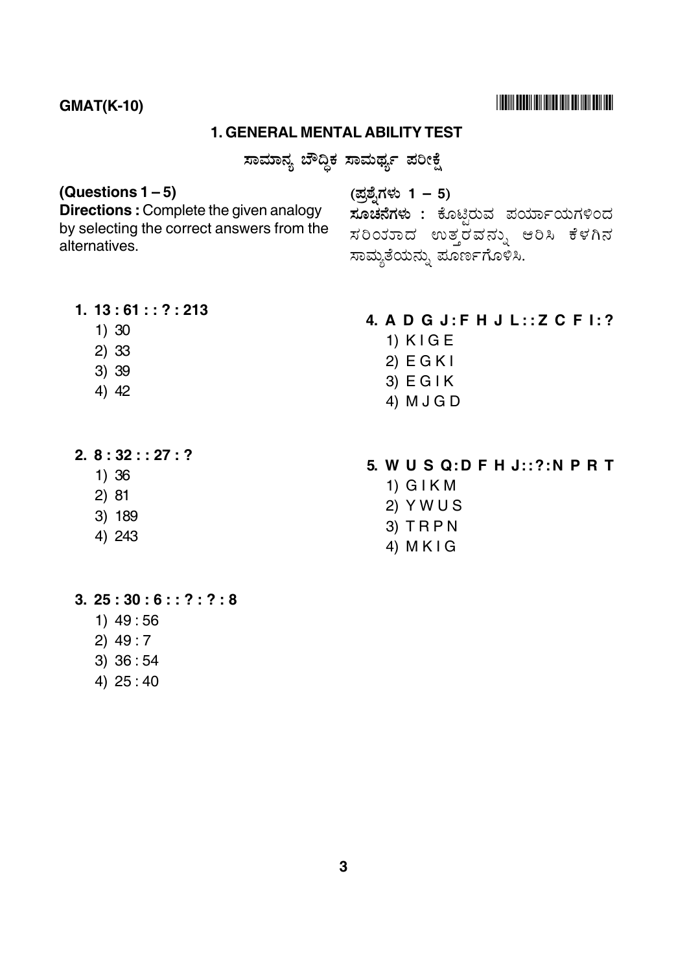# **THEIR BEEN IN HINE HII BE HEILEN!**

## **GMAT(K-10)**

#### **1. GENERAL MENTAL ABILITY TEST**

ಸಾಮಾನ್ಯ ಬೌದ್ಧಿಕ ಸಾಮರ್ಥ್ಯ ಪರೀಕ್ಷೆ

## (Questions  $1-5$ )

Directions: Complete the given analogy by selecting the correct answers from the alternatives.

(ಪ್ರಶ್ನೆಗಳು 1 – 5)

**ಸೂಚನೆಗಳು :** ಕೊಟ್ಟಿರುವ ಪರ್ಯಾಯಗಳಿಂದ ಸರಿಂಕರಾದ ಉತ್ತರವನ್ನು ಆರಿಸಿ ಕೆಳಗಿನ ಸಾಮ್ಯತೆಯನ್ನು ಪೂರ್ಣಗೊಳಿಸಿ.

4. A D G J: F H J L:: Z C F I: ?

- $1.13:61::?:213$ 
	- $1) 30$
	- $2) 33$
	- 3) 39
	- $4) 42$
- $2.8:32::27:?$ 
	- $1)36$
	- $2)81$
	- 3) 189
	- 4) 243
- 5. WUSQ:DFHJ::?:NPRT
	- $1)$  GIKM

 $1)$  KIGE

 $2)$  EGKI

 $3)$  EGIK

4) M J G D

- $2)$  Y W U S
- $3)$  TRPN
- 4)  $M K I G$

- $3.25:30:6::?:?:8$ 
	- $1)$  49:56
	- $2)$  49:7
	- $3) 36:54$
	- 4) 25:40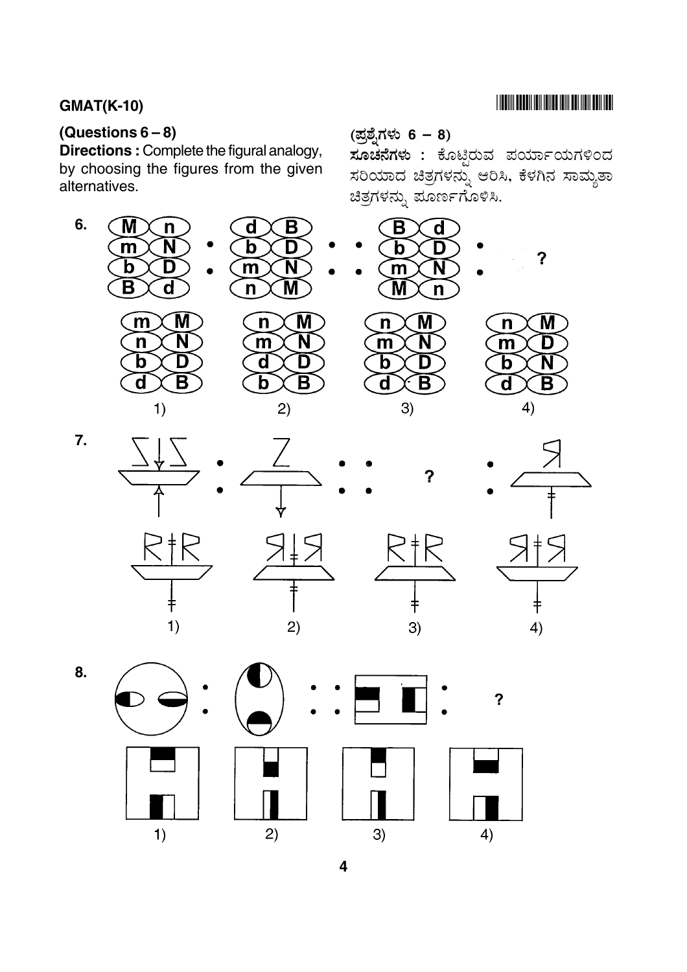# **THE RIVER BELLEVILLE IN THE RIVER OF A SET OF A SET OF A SET OF A SET OF A SET OF A SET OF A SET OF A SET OF A**

# **GMAT(K-10)**

# (Questions  $6-8$ )

Directions : Complete the figural analogy, by choosing the figures from the given alternatives.



ಸೂಚನೆಗಳು : ಕೊಟ್ಟಿರುವ ಪರ್ಯಾಯಗಳಿಂದ ಸರಿಯಾದ ಚಿತ್ರಗಳನ್ನು ಆರಿಸಿ, ಕೆಳಗಿನ ಸಾಮ್ಯತಾ ಚಿತ್ರಗಳನ್ನು ಪೂರ್ಣಗೊಳಿಸಿ.











 $\boldsymbol{v}$ 

M



8.

 $\overline{7}$ .







 $\overline{\mathbf{?}}$ 

 $3)$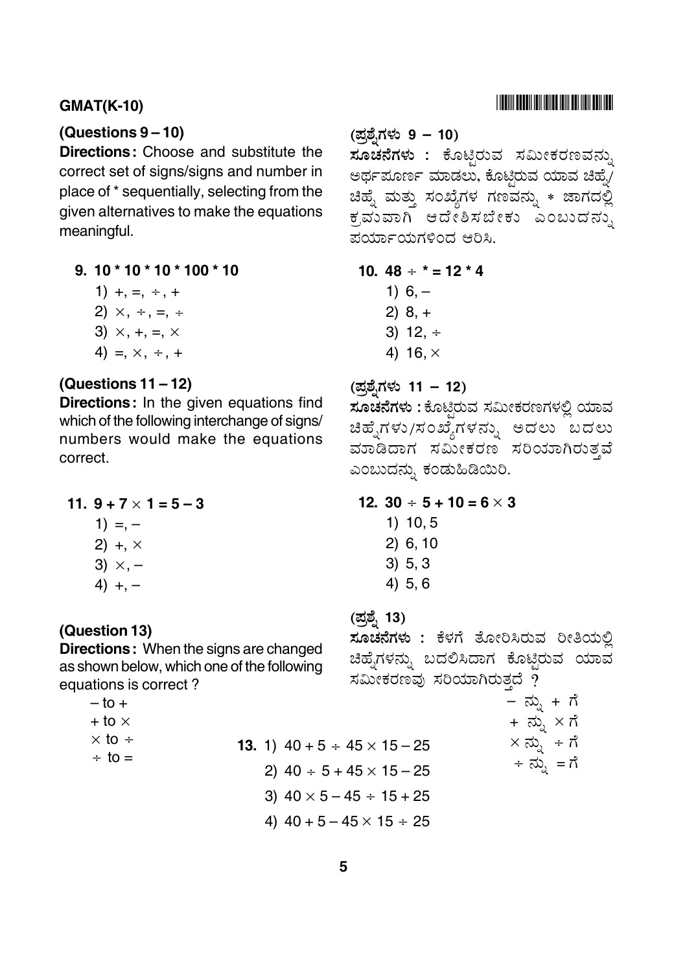## **(Questions 9 – 10)**

**Directions:** Choose and substitute the correct set of signs/signs and number in place of \* sequentially, selecting from the given alternatives to make the equations meaningful.

**9. 10 \* 10 \* 10 \* 100 \* 10**

$$
1) + , = , + , +
$$

$$
2) \times, \div, =, \div
$$

$$
3) \times, +, =, \times
$$

4) =,  $\times$ ,  $\div$ , +

## **(Questions 11 – 12)**

**Directions:** In the given equations find which of the following interchange of signs/ numbers would make the equations correct.

11. 
$$
9 + 7 \times 1 = 5 - 3
$$

- $1) = -$
- 2)  $+$ ,  $\times$
- 3)  $\times$ ,  $-$
- 4)  $+, -$

#### **(Question 13)**

**Directions:** When the signs are changed as shown below, which one of the following equations is correct ?

> $-$  to  $+$  $+$  to  $\times$  $\times$  to  $\div$

$$
\div \ \mathsf{to} =
$$

(ಪ್ರಶೈಗಳು 9 – 10)

**ಸೂಚನೆಗಳು :** ಕೊಟ್ಟಿರುವ ಸಮೀಕರಣವನ್ನು ಅರ್ಥಪೂರ್ಣ ಮಾಡಲು, ಕೊಟ್ಟಿರುವ ಯಾವ ಚಿಹ್ನೆ/ ಚಿಹ್ನೆ ಮತ್ತು ಸಂಖ್ಯೆಗಳ ಗಣವನ್ನು \* ಜಾಗದಲ್ಲಿ ಕ್ರಮುವಾಗಿ ಆದೇಶಿಸಬೇಕು ಎಂಬುದನ್ನು \_<br>ಪರ್ಯಾಯಗಳಿಂದ ಆರಿಸ<mark>ಿ</mark>.

10. 
$$
48 \div \times = 12 \times 4
$$

- 1)  $6, -$ 2) 8, + 3) 12,  $\div$
- 4) 16.  $\times$

(ಪ್ರಶೈಗಳು 11 – 12)

<mark>ತ್ತ್ನ</mark>ು .<br>**ಸೂಚನೆಗಳು :** ಕೊಟ್ಟಿರುವ ಸಮೀಕರಣಗಳಲ್ಲಿ ಯಾವ ಚಿಹೈಗಳು/ಸಂಖ್ಯೆಗಳನ್ನು ಅದಲು ಬದಲು ವಾಡಿದಾಗ ಸಮೀಕರಣ ಸರಿಯಾಗಿರುತ್ತವೆ ಎಂಬುದನ್ನು ಕಂಡುಹಿಡಿಯಿರಿ.

**12.**  $30 \div 5 + 10 = 6 \times 3$ 

1) 10, 5 2) 6, 10 3) 5, 3 4) 5, 6

# (ಪ್ರಶ್ನೆ 13)

<mark>್ತ್ನಾ</mark>ಂಡಿಗಳು : ಕೆಳಗೆ ತೋರಿಸಿರುವ ರೀತಿಯಲ್ಲಿ ಚಿಹ್ನೆಗಳನ್ನು ಬದಲಿಸಿದಾಗ ಕೊಟ್ಟಿರುವ ಯಾವ ಸಮೀಕರಣವು ಸರಿಯಾಗಿರುತ್ತದೆ  $\stackrel{\sim}{{\bm{\mathsf{p}}}}$ 

$$
\begin{aligned}\n &= \overrightarrow{\omega}_{\lambda} + \overrightarrow{n} \\
&+ \overrightarrow{\omega}_{\lambda} \times \overrightarrow{n} \\
&\times \overrightarrow{\omega}_{\lambda} + \overrightarrow{n} \\
&+ \overrightarrow{\omega}_{\lambda} = \overrightarrow{n}\n\end{aligned}
$$

**13.** 1)  $40 + 5 \div 45 \times 15 - 25$ 

2)  $40 \div 5 + 45 \times 15 - 25$ 

3)  $40 \times 5 - 45 \div 15 + 25$ 

4)  $40 + 5 - 45 \times 15 \div 25$ 

## -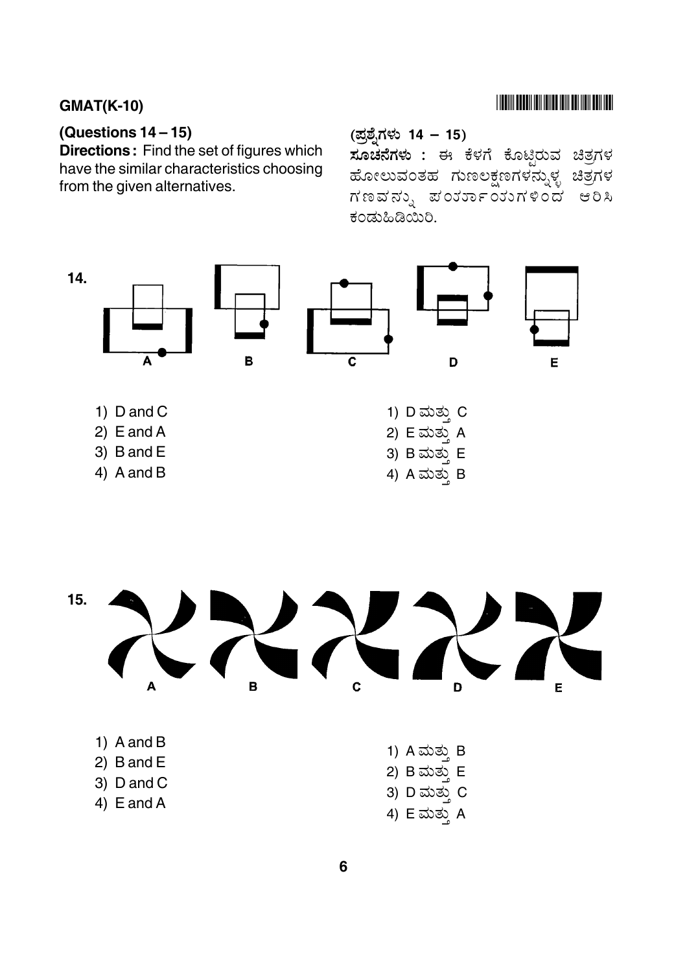## 

## **GMAT(K-10)**

## (Questions  $14-15$ )

Directions: Find the set of figures which have the similar characteristics choosing from the given alternatives.

#### (ಪ್ರಶ್ನೆಗಳು 14 – 15)

ಸೂಚನೆಗಳು : ಈ ಕೆಳಗೆ ಕೊಟ್ಟಿರುವ ಚಿತ್ರಗಳ ಹೋಲುವಂತಹ ಗುಣಲಕ್ಷಣಗಳನ್ನುಳ್ಳ ಚಿತ್ರಗಳ ಗಣವನ್ನು ಪಂರ್ಯಾಯುಗಳಿಂದ ಆರಿಸಿ ಕಂಡುಹಿಡಿಯಿರಿ.

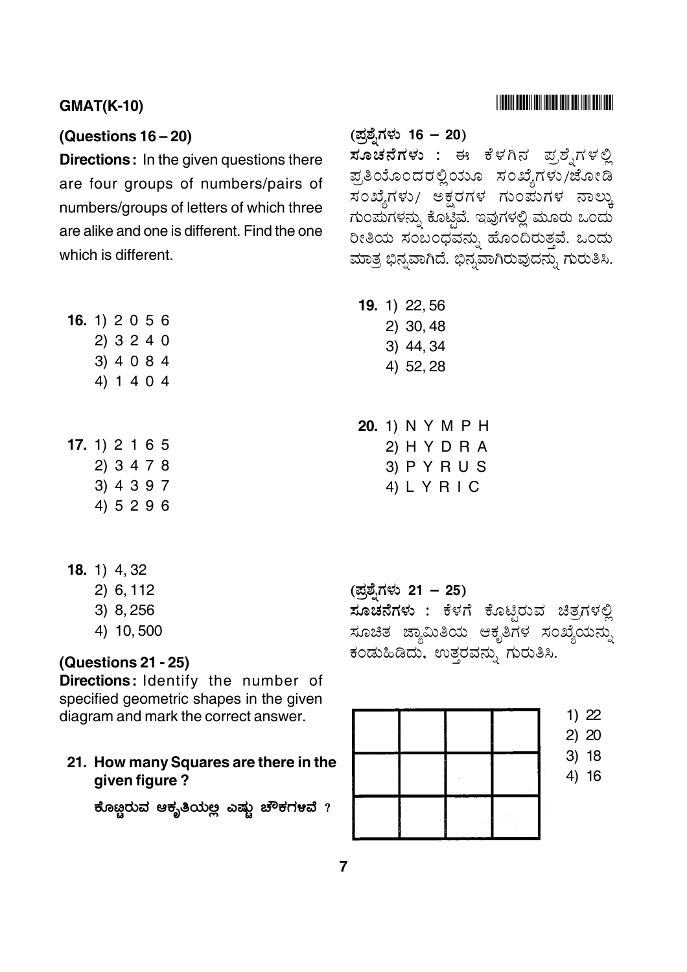#### $GMAT(K-10)$

#### **(Questions 16 – 20)**

**Directions:** In the given questions there are four groups of numbers/pairs of numbers/groups of letters of which three are alike and one is different. Find the one which is different.

| 16. 1) $2056$    |            |  |  |  |
|------------------|------------|--|--|--|
|                  | 2) 3 2 4 0 |  |  |  |
|                  | 3) 4 0 8 4 |  |  |  |
|                  | 4) 1 4 0 4 |  |  |  |
|                  |            |  |  |  |
|                  |            |  |  |  |
| 17. 1) $2 1 6 5$ |            |  |  |  |
|                  | 2) 3 4 7 8 |  |  |  |
|                  | 3) 4 3 9 7 |  |  |  |
|                  | 4) 5296    |  |  |  |

- **18.** 1) 4, 32
	- 2) 6, 112
	- 3) 8, 256
	- 4) 10, 500

**(Questions 21 - 25)**

**Directions:** Identify the number of specified geometric shapes in the given diagram and mark the correct answer.

#### **21. How many Squares are there in the given figure ?**

ಕೊೞರುವ ಆಕ್ಸತಿಯಅ ಎಷು ಚೌಕಗಳವೆ ?

(ಪ್ರಶೈಗಳು 16 – 20)

 6 & ' 7 <sup>C</sup> -+ /E(8 9 ಪ್ರತಿಯೊಂದರಲ್ಲಿಯೂ ಸಂಖ್ಯೆಗಳು/ಜೋಡಿ -<br>ಸಂಖ್ಯೆಗಳು/ ಅಕ್ಷರಗಳ ಗುಂಪುಗಳ ನಾಲ್ಕು ಗುಂಪುಗಳನ್ನು ಕೊಟ್ಟಿವೆ. ಇವುಗಳಲ್ಲಿ ಮೂರು ಒಂದು ರೀತಿಯ ಸಂಬಂಧವನ್ನು ಹೊಂದಿರುತ್ತವೆ. ಒಂದು ಮಾತ್ರ ಭಿನ್ನವಾಗಿದೆ. ಭಿನ್ನವಾಗಿರುವುದನ್ನು ಗುರುತಿಸಿ.

- **19.** 1) 22, 56
	- 2) 30, 48
	- 3) 44, 34
	- 4) 52, 28

**20.** 1) N Y M P H 2) H Y D R A 3) P Y R U S 4) L Y R I C

(ಪ್ರಶೈಗಳು 21 – 25) **ಸೂಚನೆಗಳು :** ಕೆಳಗೆ ಕೊಟ್ಟಿರುವ ಚಿತ್ರಗಳಲ್ಲಿ ಸೂಚಿತ ಜ್ಯಾಮಿತಿಯ ಆಕೃತಿಗಳ ಸಂಖ್ಯೆಯನ್ನು ಕಂಡುಹಿಡಿದು, ಉತ್ತರವನ್ನು ಗುರುತಿಸಿ.

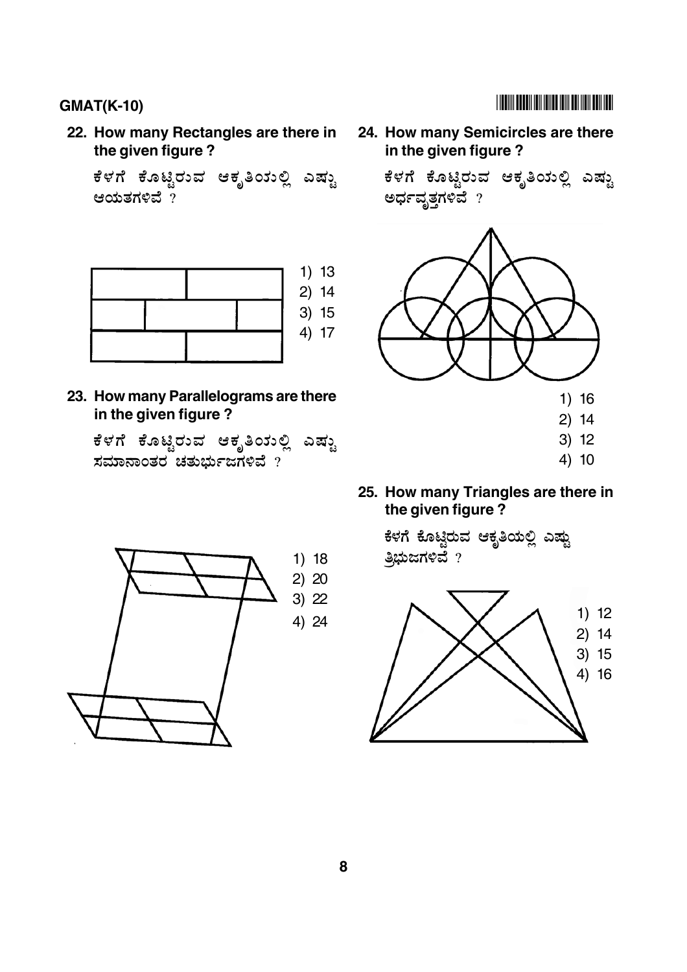**22. How many Rectangles are there in the given figure ?**

.<br>ಕೆಳಗೆ ಕೊಟಿರುವ ಆಕೃತಿಯಲಿ ಎಷು ಆಯತಗಳಿವೆ $\gamma$ 



**23. How many Parallelograms are there in the given figure ?**

.<br>ಕೆಳಗೆ ಕೊಟ್ತಿರುವ ಆಕೃತಿಯಲಿ ಎಷ್ಟು ಸಮಾನಾಂತರ ಚತುರ್ಬುಜಗಳಿವೆ ?



**24. How many Semicircles are there in the given figure ?**

> .<br>ಕೆಳಗೆ ಕೊಟಿರುವ ಆಕೃತಿಯಲಿ ಎಷು ಅರ್ಧವೃತ್ತಗಳಿವೆ $_?$



**25. How many Triangles are there in the given figure ?**

ಕೆಳಗೆ ಕೊಟಿರುವ ಆಕ್ತತಿಯಲಿ ಎಷ<mark>ು</mark> ತ್ತಿಭುಜಗಳಿವೆ $?$ 



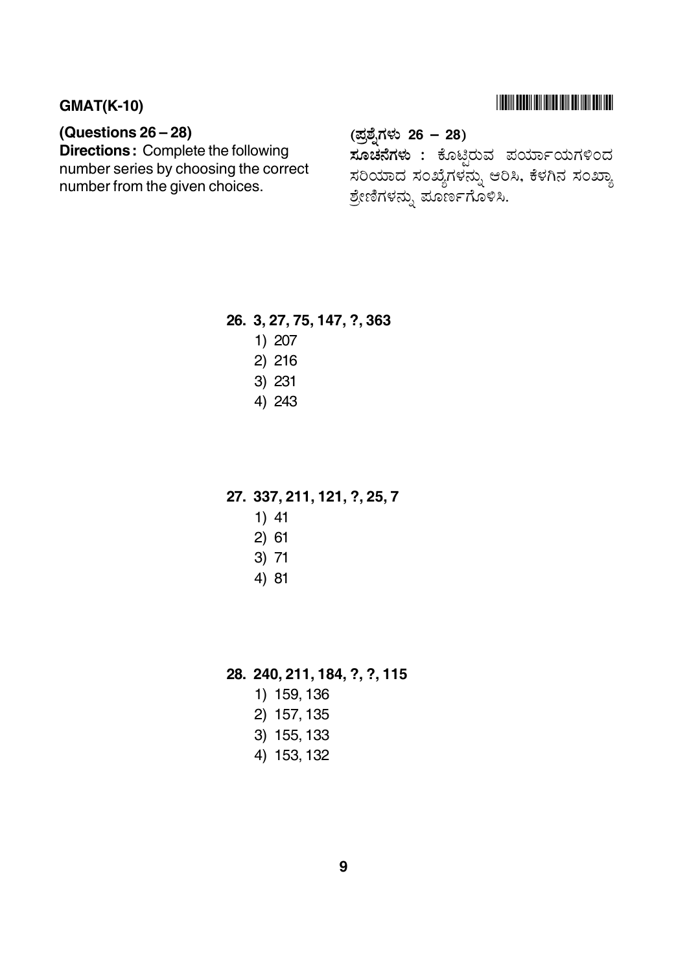# **THE REAL PROPERTY IN THE REAL PROPERTY AND A**

## **GMAT(K-10)**

## (Questions  $26 - 28$ )

**Directions:** Complete the following number series by choosing the correct number from the given choices.

# (ಪ್ರಶ್ನೆಗಳು 26 – 28)

ಸೂಚನೆಗಳು : ಕೊಟ್ಟಿರುವ ಪರ್ಯಾಯಗಳಿಂದ ಸರಿಯಾದ ಸಂಖ್ಯೆಗಳನ್ನು ಆರಿಸಿ, ಕೆಳಗಿನ ಸಂಖ್ಯಾ ಶ್ರೇಣಿಗಳನ್ನು ಪೂರ್ಣಗೊಳಿಸಿ.

#### 26. 3, 27, 75, 147, ?, 363

- 1) 207
- 2) 216
- 3) 231
- 4) 243

#### 27. 337, 211, 121, ?, 25, 7

- $1)$  41
- $2) 61$
- $3) 71$
- 4) 81

28. 240, 211, 184, ?, ?, 115

- 1) 159, 136
- 2) 157, 135
- 3) 155, 133
- 4) 153, 132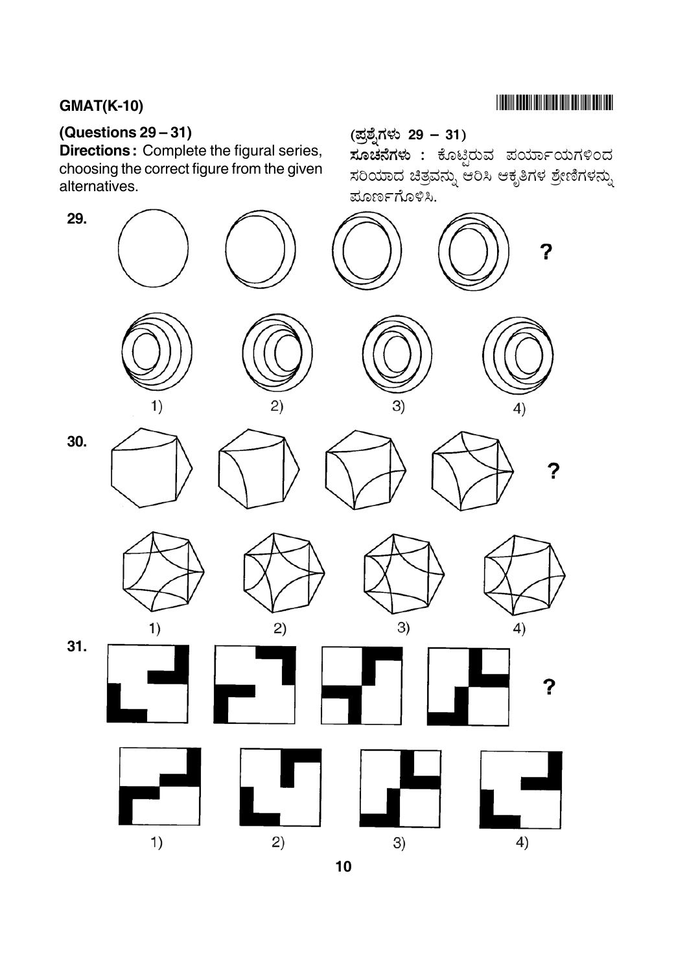# 

# (Questions  $29-31$ )

Directions: Complete the figural series, choosing the correct figure from the given alternatives.



್ತು .<br>**ಸೂಚನೆಗಳು :** ಕೊಟ್ಟಿರುವ ಪರ್ಯಾಯಗಳಿಂದ ಸರಿಯಾದ ಚಿತ್ರವನ್ನು ಆರಿಸಿ ಆಕೃತಿಗಳ ಶ್ರೇಣಿಗಳನ್ನು .<br>ಮೂರ್ಣಗೊಳಿಸಿ.



 $10$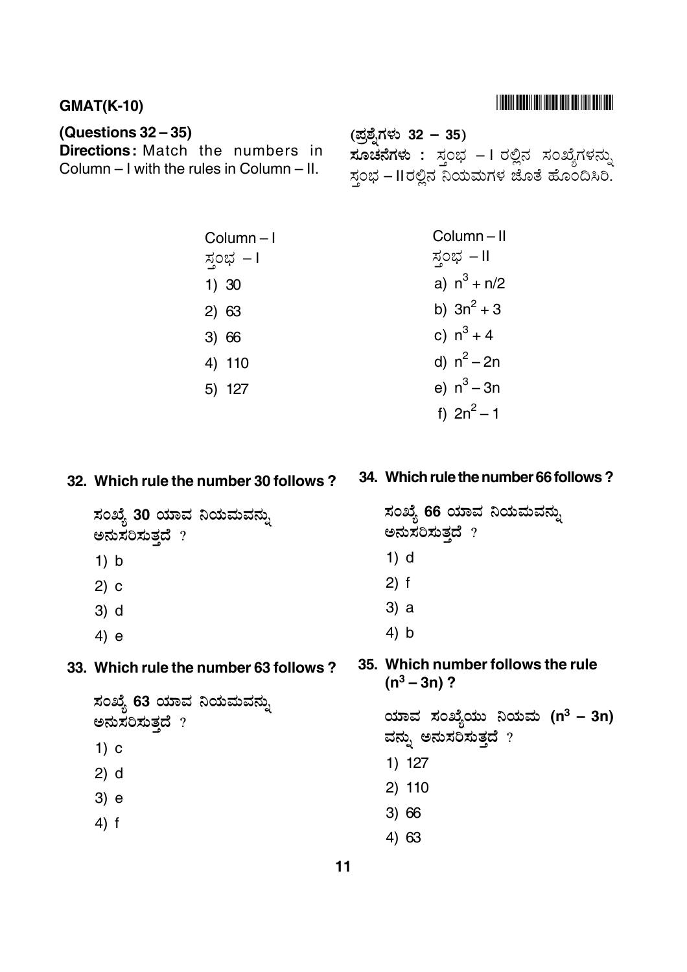## 

#### **GMAT(K-10)**

## (Questions  $32 - 35$ )

**Directions:** Match the numbers in Column - I with the rules in Column - II.

(ಪ್ರಶೈಗಳು 32 – 35) **ಸೂಚನೆಗಳು :** ಸ್ತಂಭ – I ರಲ್ಲಿನ ಸಂಖ್ಯೆಗಳನ್ನು  $\frac{1}{2}$ ಸಂಭ – IIರಲ್ಲಿನ ನಿಯಮಗಳ ಜೊತೆ ಹೊಂದಿಸಿರಿ.

| Column-I   | Column-II      |
|------------|----------------|
| ಸ್ತಂಭ  – I | ಸ್ತಂಭ – II     |
| 1) 30      | a) $n^3 + n/2$ |
| 2) 63      | b) $3n^2 + 3$  |
| 3) 66      | c) $n^3 + 4$   |
| 4) 110     | d) $n^2 - 2n$  |
| 5) 127     | e) $n^3 - 3n$  |
|            | f) $2n^2 - 1$  |

### 32. Which rule the number 30 follows?

ಸಂಖ್ಯೆ 30 ಯಾವ ನಿಯಮವನ್ನು ಅನುಸರಿಸುತ್ತದೆ ?

- $1) b$
- $2) c$
- $3)$  d
- $4) e$

#### 33. Which rule the number 63 follows?

- ಸಂಖ್ಯೆ 63 ಯಾವ ನಿಯಮವನ್ನು ಅನುಸರಿಸುತ್ತದೆ ?  $1)$  c
- $2) d$
- 
- $3) e$
- $4)$  f

#### 34. Which rule the number 66 follows?

```
ಸಂಖ್ಯೆ 66 ಯಾವ ನಿಯಮವನ್ನು
  ಅನುಸರಿಸುತ್ತದೆ ?
   1) d
   2) f3) a4) b35. Which number follows the rule
   (n^3 - 3n)?
  ಯಾವ ಸಂಖ್ಯೆಯು ನಿಯಮ (n<sup>3</sup> – 3n)
  ವನ್ನು ಅನುಸರಿಸುತ್ತದೆ ?1) 1272) 110
```
- $3) 66$
- 4) 63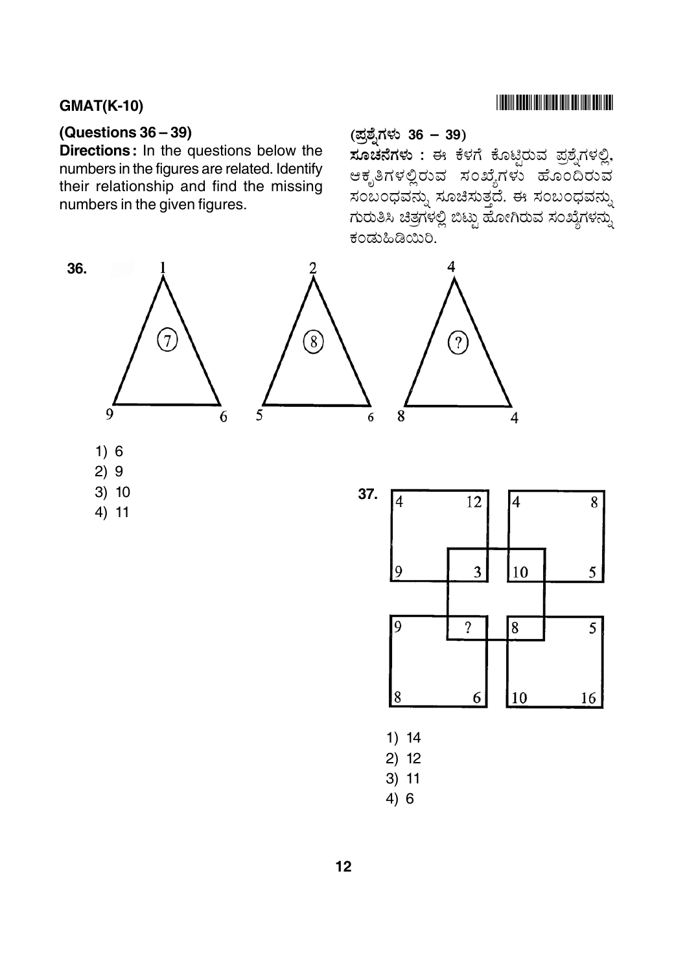# 

## **GMAT(K-10)**

36.

9

 $1)6$  $2)9$  $3) 10$ 

 $4) 11$ 

## (Questions  $36 - 39$ )

Directions: In the questions below the numbers in the figures are related. Identify their relationship and find the missing numbers in the given figures.

# (ಪ್ರಶ್ನೆಗಳು 36 – 39)

ಸೂಚನೆಗಳು : ಈ ಕೆಳಗೆ ಕೊಟ್ಟಿರುವ ಪ್ರಶ್ನೆಗಳಲ್ಲಿ, ಆಕೃತಿಗಳಲ್ಲಿರುವ ಸಂಖ್ಯೆಗಳು ಹೊಂದಿರುವ ಸಂಬಂಧವನ್ನು ಸೂಚಿಸುತ್ತದೆ. ಈ ಸಂಬಂಧವನ್ನು ಗುರುತಿಸಿ ಚಿತ್ರಗಳಲ್ಲಿ ಬಿಟ್ಟು ಹೋಗಿರುವ ಸಂಖ್ಯೆಗಳನ್ನು ಕಂಡುಹಿಡಿಯಿರಿ.

?





4

- $2) 12$
- $3) 11$
- $4)6$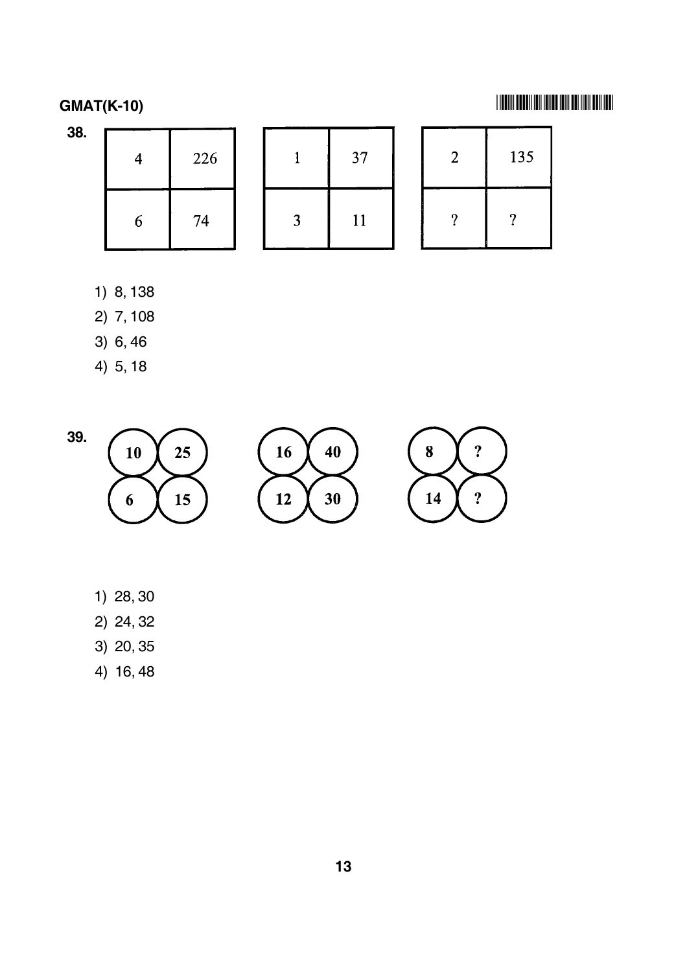-

| 38. | $\overline{4}$ | 226 |         | 37 | ി<br>∠ | 135 |  |
|-----|----------------|-----|---------|----|--------|-----|--|
|     | 6              | 74  | ્ર<br>J | 11 | റ      | ິດ  |  |

- 1) 8, 138
- 2) 7, 108
- 3) 6, 46
- 4) 5, 18



- 1) 28, 30
- 2) 24, 32
- 3) 20, 35
- 4) 16, 48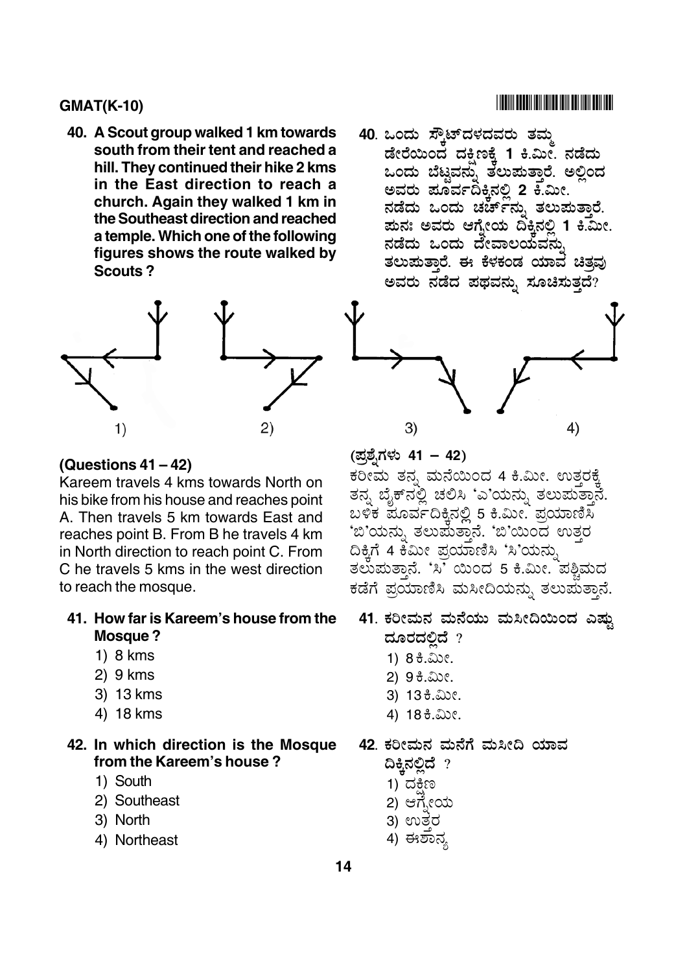**40. A Scout group walked 1 km towards south from their tent and reached a hill. They continued their hike 2 kms in the East direction to reach a church. Again they walked 1 km in the Southeast direction and reached a temple. Which one of the following figures shows the route walked by Scouts ?**



# **(Questions 41 – 42)**

Kareem travels 4 kms towards North on his bike from his house and reaches point A. Then travels 5 km towards East and reaches point B. From B he travels 4 km in North direction to reach point C. From C he travels 5 kms in the west direction to reach the mosque.

#### **41. How far is Kareem's house from the Mosque ?**

- 1) 8 kms
- 2) 9 kms
- 3) 13 kms
- 4) 18 kms

#### **42. In which direction is the Mosque from the Kareem's house ?**

- 1) South
- 2) Southeast
- 3) North
- 4) Northeast

(ಪ್ರಶೈಗಳು 41 – 42)

3)

\_\_\_<br>ಕರೀಮ ತನ್ನ ಮನೆಯಿಂದ 4 ಕಿ.ಮೀ. ಉತ್ತರಕ್ಕೆ ತನ್ನ ಬೈಕ್ನಲ್ಲಿ ಚಲಿಸಿ 'ಎ'ಯನ್ನು ತಲುಪುತ್ತಾನೆ. ಬಳಿಕ ಪೂರ್ವದಿಕ್ಕಿನಲ್ಲಿ 5 ಕಿ.ಮೀ. ಪ್ರಯಾಣಿಸಿ<br>' SJT ( &2& '- SJT?\$ %& '" ದಿಕ್ಕಿಗೆ 4 ಕಿಮೀ ಪ್ರಯಾಣಿಸಿ 'ಸಿ'ಯನ್ನು ತಲುಮತ್ತಾನೆ. 'ಸಿ' ಯಿಂದ 5 ಕಿ.ಮೀ. ಪಶ್ಚಿಮದ<br>. .<br>. ಕಡೆಗೆ ಪ್ರಯಾಣಿಸಿ ಮಸೀದಿಯನ್ನು ತಲುಪುತ್ತಾನೆ.

- 41. ಕರೀಮನ ಮನೆಯು ಮಸೀದಿಯಿಂದ ಎಷ್ಟು ದೂರದಲಿದೆ  $\,$  ?
	- 1)  $83.20c$ .
	- 2) 9 ಕಿ.ಮೀ.
	- 3) 13 ಕಿ.ಮೀ.
	- 4) 18 ಕಿ.ಮೀ.
- 42. ಕರೀಮನ ಮನೆಗೆ ಮಸೀದಿ ಯಾವ
	- ದಿಕ್ಕಿನಲ್ಲಿದೆ ? 1) ದಕ್ಷಿಣ ֧֦֦֧֦֧֦֧֦֧֦֧֦֧֦֛֛֛֚֚֚֚֝֝֜֜֜֜֜֜֜֝֜֜֜
	- 2) ಆಗ್ನೇಯ
	- 3) ಉತರ
	- .<br>4) ಈಶಾನ್ಯ

#### **14**

#### -

4)

.<br>40 ಒಂದು ಸ್ಕೌಟ್**ದಳದವರು ತಮ್ಮ** ಡೇರೆಯಿಂದ ದಕ್ಷಿಣಕ್ಕೆ 1 ಕಿ.ಮೀ. ನಡೆದು ಒಂದು ಬೆಟವನು ತಲುಪುತಾರೆ. ಅಲಿಂದ ಅವರು ಪೂರ್ವದಿಕ್<del>ತಿ</del>ನಲ್ಲಿ 2 ಕೆ.ಮೀ. ನಡೆದು ಒಂದು ಚರ್ಚ್**ನು ತಲುಪುತಾರೆ**. <u>ಪುನಃ ಅವರು ಆಗ್</u>ನೇಯ ದಿಕ್ಕಿನಲ್ಲಿ 1 ಕಿ.ಮೀ. ನಡೆದು ಒಂದು ದೇವಾಲಯವನು .<br>ತಲುಪುತಾರೆ. ಈ ಕೆಳಕಂಡ ಯಾವ ಚಿತ್ರ ಅವರು ನಡೆದ ಪಥವನು ಸೂಚಿಸುತದೆ?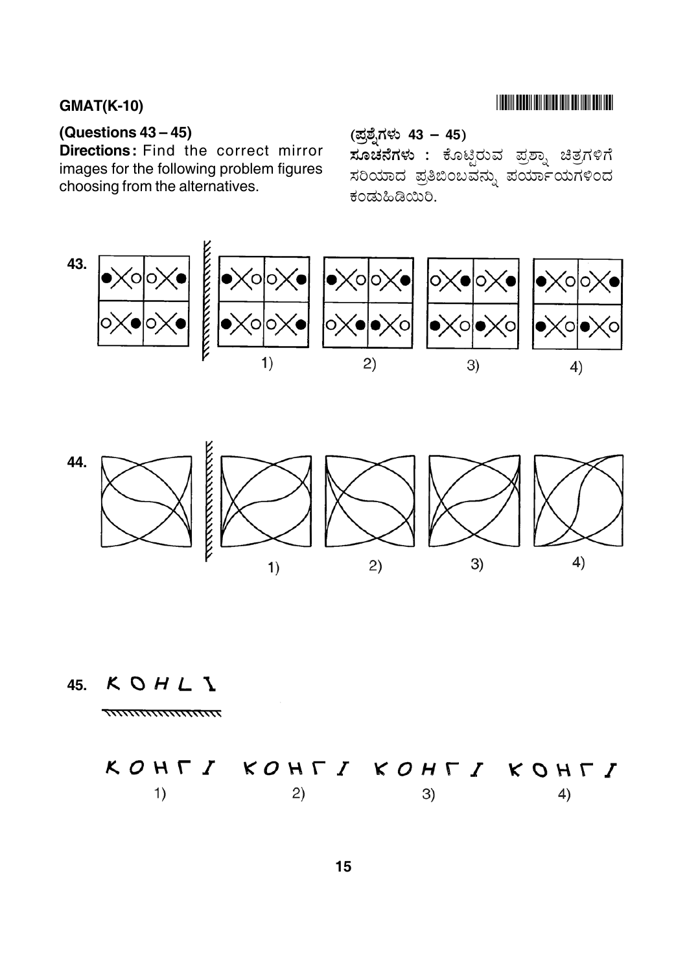# **THE RIVER BELLEVILLE IN THE RIVER OF A SET OF A SET OF A SET OF A SET OF A SET OF A SET OF A SET OF A SET OF A**

## (Questions  $43-45$ )

Directions: Find the correct mirror images for the following problem figures choosing from the alternatives.

(ಪ್ರಶ್ನೆಗಳು 43 – 45)

.<br>**ಸೂಚನೆಗಳು :** ಕೊಟ್ಟಿರುವ ಪ್ರಶ್ನಾ ಚಿತ್ರಗಳಿಗೆ ಸರಿಯಾದ ಪ್ರತಿಬಿಂಬವನ್ನು ಪರ್ಯಾಯಗಳಿಂದ ಕಂಡುಹಿಡಿಯಿರಿ.





KOHLI 45.

$$
K O H \Gamma I \quad KO H \Gamma I \quad KO H \Gamma I \quad KO H \Gamma I
$$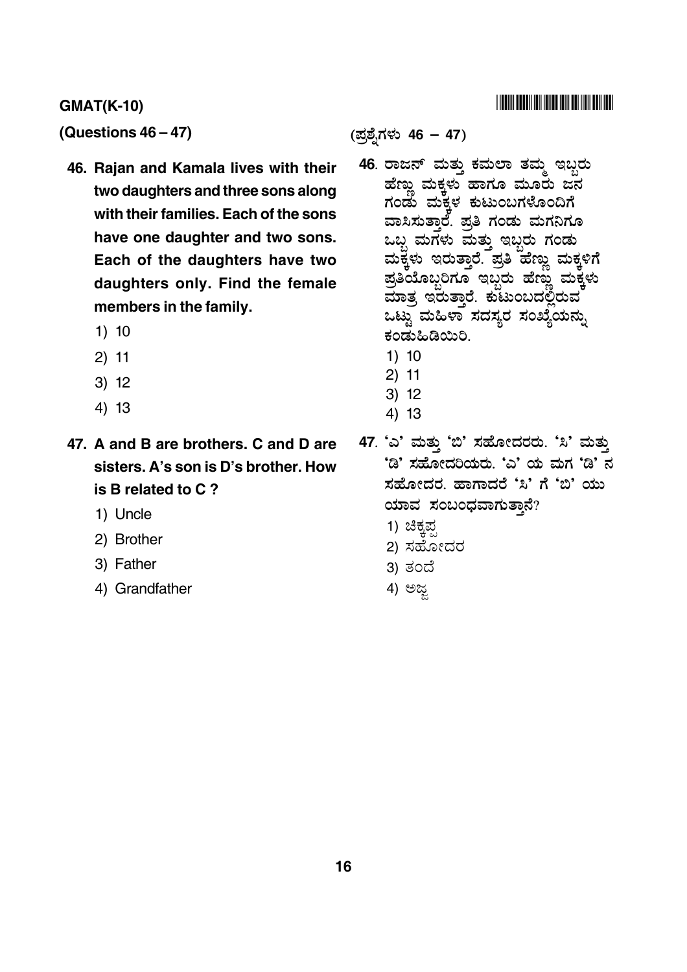#### **GMAT(K-10)** -

**(Questions 46 – 47)**

- **46. Rajan and Kamala lives with their two daughters and three sons along with their families. Each of the sons have one daughter and two sons. Each of the daughters have two daughters only. Find the female members in the family.**
	- 1) 10
	- 2) 11
	- 3) 12
	- 4) 13
- **47. A and B are brothers. C and D are sisters. A's son is D's brother. How is B related to C ?**
	- 1) Uncle
	- 2) Brother
	- 3) Father
	- 4) Grandfather

(ಪ್ರಶ್ನೆಗಳು 46 – 47)

- .<br>46. ರಾಜನ್ ಮತ್ತು ಕಮಲಾ ತಮ್ಮ ಇಬ್ಬರು ಹೆಣು ಮಕ್ಕಳಾ ಹಾಗೂ ಮೂರು ಜ $\overset{\omega}{\rm a}$ ಗಂಡು ಮಕ್ಕಳ ಕುಟುಂಬಗಳೊಂದಿಗೆ ವಾಸಿಸುತಾರೆ. ಪತಿ ಗಂಡು ಮಗನಿಗೂ ಒಬ ಮಗಳು ಮತು ಇಬರು ಗಂಡು ಮಕಳು ಇರುತಾರೆ. ಪತಿ ಹೆಣು ಮಕಳಿಗೆ ಪತಿಯೊಬರಿಗೂ ಇಬರು ಹೆಣು ಮಕ್<del>ಷ</del>ೆಳು 0 - \* -" ) : -, ಒಟ್ತು ಮಹಿಳಾ ಸದಸ್ತರ ಸಂಖ್ಯೆಯನು. ಕಂಡುಹಿಡಿಯಿರಿ.
	- 1) 10
	- 2) 11
	- 3) 12
	- 4) 13
- .<br>47. 'ಎ' ಮತ್ತು 'ಬಿ' ಸಹೋದರರು. 'ಸಿ' ಮತ<mark>್ತ</mark>ು 'ಡಿ' ಸಹೋದರಿಯರು. 'ಎ' ಯ ಮಗ 'ಡಿ' ನ ಸಹೋದರ, ಹಾಗಾದರೆ 'ಸಿ' ಗೆ 'ಬಿ' ಯು ಯಾವ ಸಂಬಂಧವಾಗುತ್ತಾನೆ?
	- 1) ಚಿಕ್ಕಪ್ಪ
	- 2) ಸಹೋದರ
	- 3) ತಂದೆ
	- 4) ಅಜ್ಜ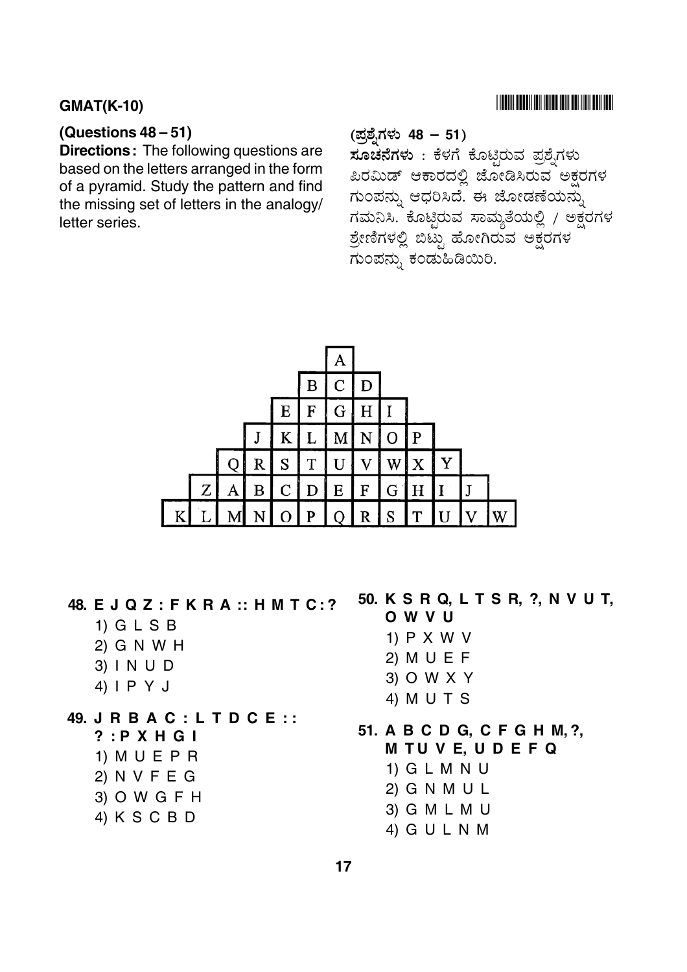#### **GMAT(K-10)** -

## **(Questions 48 – 51)**

**Directions:** The following questions are based on the letters arranged in the form of a pyramid. Study the pattern and find the missing set of letters in the analogy/ letter series.

# (ಪ್ರಶ್ನೆಗಳು 48 – 51)

**ಸೂಚನೆಗಳು** : ಕೆಳಗೆ ಕೊಟ್ಟಿರುವ ಪ್ರಶ್ನೆಗಳು ಪಿರಮಿಡ್ ಆಕಾರದಲ್ಲಿ ಜೋಡಿಸಿರುವ ಅಕ್ಷರಗಳ ಗುಂಪನ್ನು ಆಧರಿಸಿದೆ. ಈ ಜೋಡಣೆಯನ್ನು ಗಮನಿಸಿ. ಕೊಟ್ಟಿರುವ ಸಾಮ್ಯತೆಯಲ್ಲಿ / ಅಕ್ಷರಗಳ ಶ್ರೇಣಿಗಳಲ್ಲಿ ಬಿಟ್ಟು ಹೋಗಿರುವ ಅಕ್ಷರಗಳ \_<br>ಗುಂಪನ್ನು ಕಂಡುಹಿಡಿಯಿರಿ.



**48. E J Q Z : F K R A :: H M T C : ?**

- 1) G L S B
- 2) G N W H
- 3) I N U D
- 4) I P Y J

# **49. J R B A C : L T D C E : :**

**? : P X H G I**

- 1) M U E P R 2) N V F E G
- 3) O W G F H
- 4) K S C B D

## **50. K S R Q, L T S R, ?, N V U T,**

## **OWVU**

- 1) P X W V
- 2) M U E F
- 3) O W X Y
- 4) M U T S

# **51. A B C D G, C F G H M, ?,**

- **M T U V E, U D E F Q**
	- 1) G L M N U
	- 2) G N M U L
	- 3) G M L M U
	- 4) G U L N M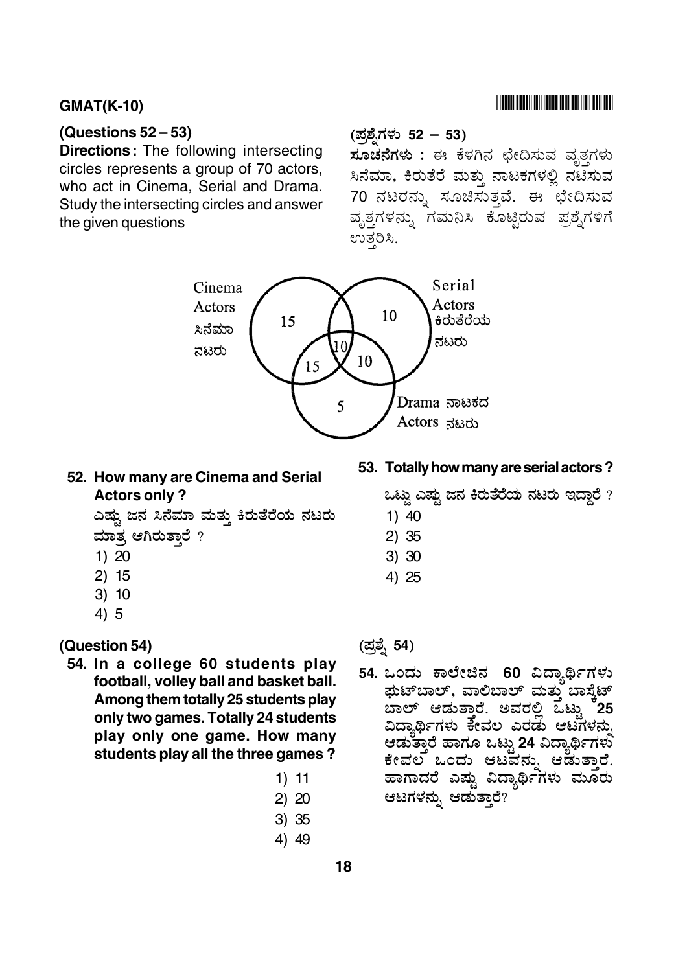#### $GMAT(K-10)$

#### **(Questions 52 – 53)**

**Directions:** The following intersecting circles represents a group of 70 actors, who act in Cinema, Serial and Drama. Study the intersecting circles and answer the given questions

# (ಪ್ರಶೈಗಳು 52 – 53)

6 & ' 7 <sup>C</sup>- + \ L& ' ಸಿನೆಮಾ, ಕಿರುತೆರೆ ಮತ್ತು ನಾಟಕಗಳಲ್ಲಿ ನಟಿಸುವ 70 ನಟರನ್ನು ಸೂಚಿಸುತ್ತವೆ. ಈ ಛೇದಿಸುವ ವೃತ್ತಗಳನ್ನು ಗಮನಿಸಿ ಕೊಟ್ಟಿರುವ ಪ್ರಶ್ನೆಗಳಿಗೆ ಉತ್ತರಿಸಿ.

**53. Totally how many are serial actors ?**

ಒಟು ಎಷು ಜನ ಕಿರುತೆರೆಯ ನಟರು ಇದಾರೆ  $\overline{?}$ 



# **52. How many are Cinema and Serial Actors only ?**

ಎಷು ಜನ ಸಿನೆಮಾ ಮತು ಕಿರುತೆರೆಯ ನಟರು ಮಾತ್ರ ಆಗಿರುತಾರೆ ?

- 1) 20
- 2) 15
- 3) 10
- 4) 5

#### **(Question 54)**

- **54. In a college 60 students play football, volley ball and basket ball. Among them totally 25 students play only two games. Totally 24 students play only one game. How many students play all the three games ?**
- (ಪ್ರಶ್ನೆ 54)

1) 40 2) 35 3) 30 4) 25

54. ಒಂದು ಕಾಲೇಜಿನ 60 ವಿದ್ಯಾರ್ಥಿಗಳು \$A!!(:!  @A! ! 8/ -. ಅವರಲ್ಲಿ ಒಟ್ಟು <sup>ಕ</sup>25 ವಿದ್ಯಾರ್ಥಿಗಳು ಕೇವಲ ಎರಡು ಆಟಗಳನ್ನು<br>ಆಡುತಾರೆ ಹಾಗೂ ಒಟು 24 ವಿದ್ಯಾರ್ಥಿಗಳು ಆಡುತಾರೆ ಹಾಗೂ ಒಟ್ಟು 24 ವಿದ್ಯಾರ್ಥಿಗಳು ಕೇವಲ ಒಂದು ಆಟವನ್ನು ಆಡುತ್ತಾರೆ.<br>ಹಾಗಾದರೆ ಎಷ್ಟು ವಿದ್ಯಾರ್ಥಿಗಳು ಮೂರು - EV5& ' - ಆಟಗಳನು. ಆಡುತಾರೆ?

1) 11 2) 20 3) 35 4) 49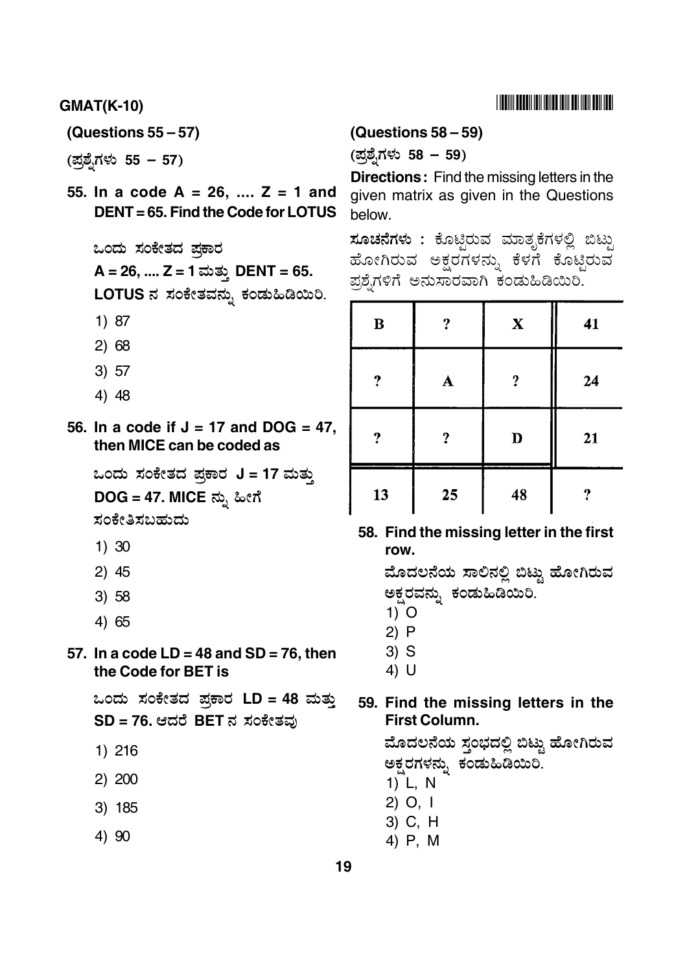$GMAT(K-10)$ 

**(Questions 55 – 57)**

(ಪ್ರಶೈಗಳು 55 – 57)

**55. In a code A = 26, .... Z = 1 and DENT = 65. Find the Code for LOTUS**

ಒಂದು ಸಂಕೇತದ ಪಕಾರ **A = 26, .... Z = 1 DENT = 65.** LOTUS ನ ಸಂಕೇತವನ್ನು ಕಂಡುಹಿಡಿಯಿರಿ.

- 1) 87
- 2) 68
- 3) 57
- 4) 48

**56. In a code if J = 17 and DOG = 47, then MICE can be coded as**

.<br>ಒಂದು ಸಂಕೇತದ ಪ್ರಕಾರ J = 17 ಮತ್ತು **DOG = 47. MICE** ನ್ನು ಹೀಗೆ

ಸಂಕೇತಿಸಬಹುದು

- 1) 30
- 2) 45
- 3) 58
- 4) 65

#### **57. In a code LD = 48 and SD = 76, then the Code for BET is**

.<br>ಒಂದು ಸಂಕೇತದ ಪ್ರಕಾರ LD = 48 ಮತ್ತು  $SD = 76$ . ಆದರೆ BET ನ ಸಂಕೇತವು

- 1) 216
- 2) 200
- 3) 185
- 4) 90

#### **(Questions 58 – 59)**

(ಪ್ರಶೈಗಳು 58 – 59)

**Directions:** Find the missing letters in the given matrix as given in the Questions below.

<mark>ಸೂಚನೆಗಳು :</mark> ಕೊಟ್ಟಿರುವ ಮಾತೃಕೆಗಳಲ್ಲಿ ಬಿಟ್ಟು ! ಹೋಗಿರುವ ಅಕ್ಷರಗಳನ್ನು ಕೆಳಗೆ ಕೊಟ್ಟಿರುವ  $\ddot{\phantom{0}}$ ಪ್ರಶ್ನೆಗಳಿಗೆ ಅನುಸಾರವಾಗಿ ಕಂಡುಹಿಡಿಯಿರಿ.

| B  | ?           | $\mathbf X$ | 41 |
|----|-------------|-------------|----|
| ?  | $\mathbf A$ | ?           | 24 |
| ?  | ?           | D           | 21 |
| 13 | 25          | 48          | ŋ  |

### **58. Find the missing letter in the first row.**

ಮೊದಲನೆಯ ಸಾಲಿನಲಿ ಬಿಟ್ತು ಹೋಗಿರುವ ಅಕರವನು, ಕಂಡುಹಿಡಿಯಿರಿ.

- 1) O
- 2) P
- 3) S
- 4) U

#### **59. Find the missing letters in the First Column.**

ಮೊದಲನೆಯ ಸಂಬದಲಿ ಬಿಟು ಹೋಗಿರುವ ಅಕರಗಳನು. ಕಂಡುಹಿಡಿಯಿರಿ.

- 1) L, N
- 2) O, I
- 3) C, H
- 4) P, M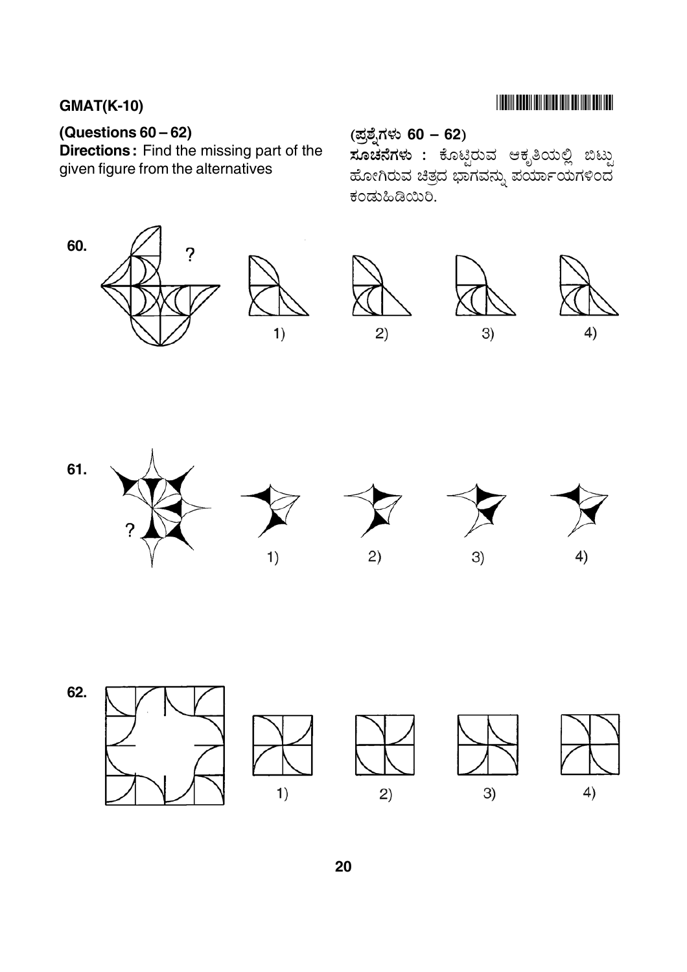# **THE RIVER CONTROL IN THE REAL PROPERTY AND A**

# (Questions  $60 - 62$ )

Directions: Find the missing part of the given figure from the alternatives

(ಪ್ರಶ್ನೆಗಳು 60 – 62) ಿರ್<br>**ಸೂಚನೆಗಳು :** ಕೊಟ್ಟಿರುವ ಆಕೃತಿಯಲ್ಲಿ ಬಿಟ್ಟು ಹೋಗಿರುವ ಚಿತ್ರದ ಭಾಗವನ್ನು ಪರ್ಯಾಯಗಳಿಂದ ಕಂಡುಹಿಡಿಯಿರಿ.













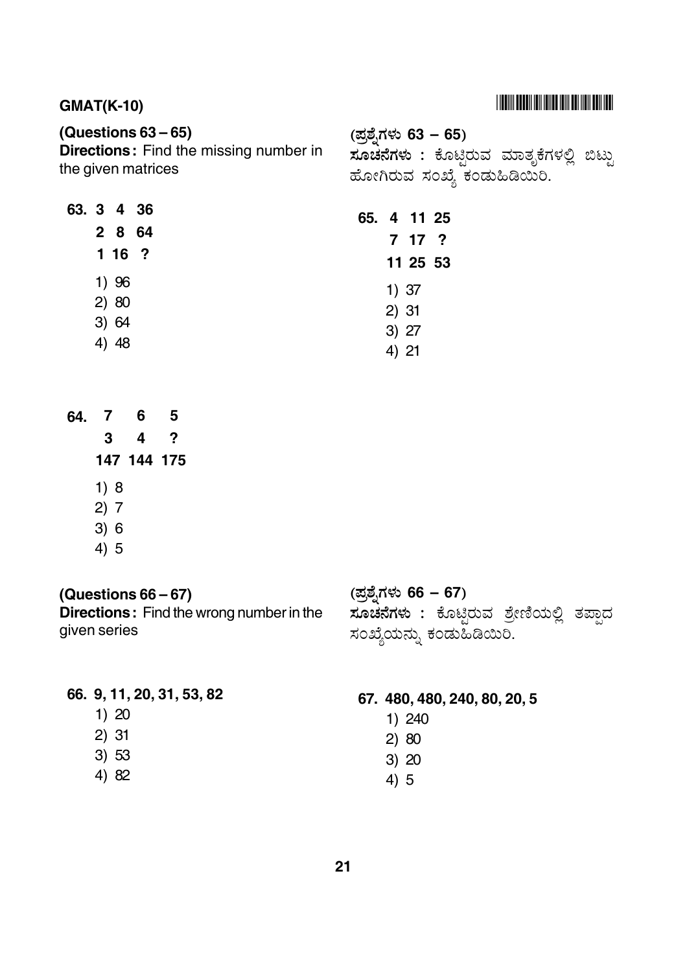## $GMAT(K-10)$

## **(Questions 63 – 65)**

**Directions:** Find the missing number in the given matrices

(ಪ್ರಶ್ನೆಗಳು 63 – 65) **ಸೂಚನೆಗಳು :** ಕೊಟ್ಟಿರುವ ಮಾತೃಕೆಗಳಲ್ಲಿ ಬಿಟ್ಟು ! ಹೋಗಿರುವ ಸಂಖ್ಯೆ ಕಂಡುಹಿಡಿಯಿರಿ.

| 63. 3 4 36 |         | 65. 4 11 25 |       |          |  |
|------------|---------|-------------|-------|----------|--|
|            | 2 8 64  |             |       |          |  |
|            | $116$ ? |             |       | 7 17 ?   |  |
|            |         |             |       | 11 25 53 |  |
|            | 1)96    |             |       | 1)37     |  |
|            | 2) 80   |             |       |          |  |
|            | 3)64    |             | 2)31  |          |  |
|            |         |             |       | 3) 27    |  |
|            | 4) 48   |             | 4) 21 |          |  |

- **64. 7 6 5 147 144 175 3 4 ?**
	- 1) 8
	- 2) 7
	- 3) 6
	- 4) 5

## **(Questions 66 – 67)**

**Directions:** Find the wrong number in the given series

# (ಪ್ರಶೈಗಳು 66 – 67)

**ಸೂಚನೆಗಳು :** ಕೊಟ್ಟಿರುವ ಶ್ರೇಣಿಯಲ್ಲಿ ತಪ್ಪಾದ ಸಂಖ್ಯೆಯನ್ನು ಕಂಡುಹಿಡಿಯಿರಿ.

### **66. 9, 11, 20, 31, 53, 82**

- 1) 20
- 2) 31
- 3) 53
- 4) 82

## **67. 480, 480, 240, 80, 20, 5**

- 1) 240
- 2) 80
- 3) 20
- 4) 5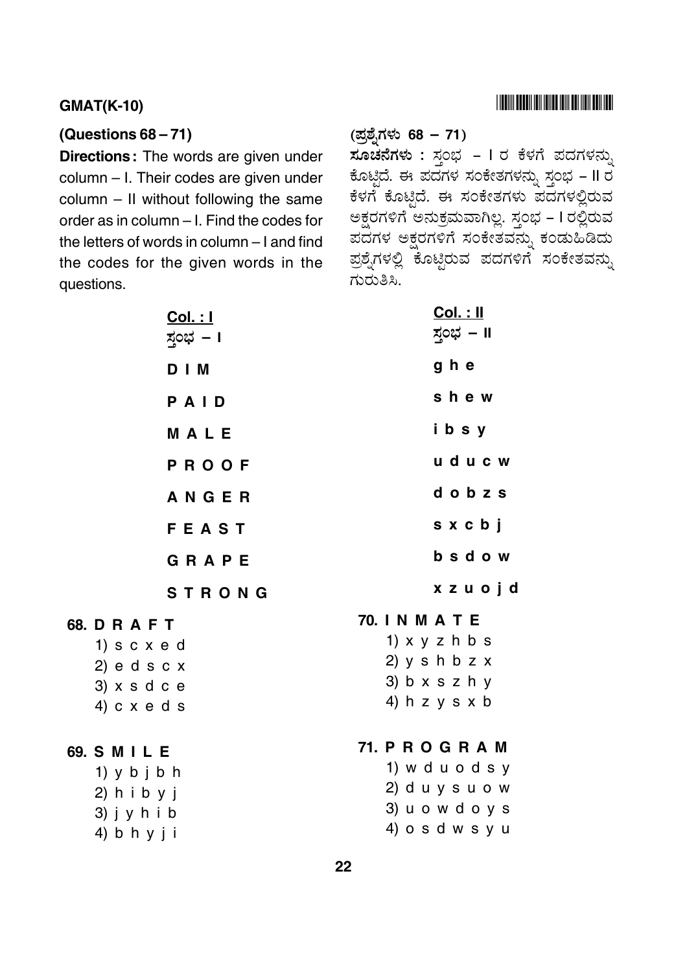## 

#### **GMAT(K-10)**

#### (Questions  $68-71$ )

**Directions:** The words are given under column - I. Their codes are given under column - II without following the same order as in column - I. Find the codes for the letters of words in column - I and find the codes for the given words in the questions.

**68. D R A F T** 

69. S M I L E

| <u> Col. : I</u><br>ಸ್ತಂಭ – ।                                                        | <u> Col. : II</u><br>ಸ್ಗಂಭ – II                                                                      |
|--------------------------------------------------------------------------------------|------------------------------------------------------------------------------------------------------|
| D   M                                                                                | g h e                                                                                                |
| PAID                                                                                 | shew                                                                                                 |
| MALE                                                                                 | ibsy                                                                                                 |
| PROOF                                                                                | uducw                                                                                                |
| ANGER                                                                                | dobzs                                                                                                |
| <b>FEAST</b>                                                                         | sxcbj                                                                                                |
| GRAPE                                                                                | bsdow                                                                                                |
| <b>STRONG</b>                                                                        | xzuojd                                                                                               |
| DRAFT<br>$1)$ s c $x$ e d<br>$2)$ e d s c x<br>$3)$ x s d c e<br>4) $c \times e$ d s | 70. IN M A T E<br>1) $x y z h b s$<br>2) $y \sin b z x$<br>$3)$ b x s z h y<br>4) h z y s x b        |
| SMILE<br>1) $y$ b $j$ b $h$<br>$2)$ h i b y j<br>$3)$ j y h i b<br>4) b h y j i      | <b>71. P R O G R A M</b><br>1) w d u o d s y<br>$2)$ d u y s u o w<br>3) u o w d o y s<br>4) osdwsyu |
|                                                                                      |                                                                                                      |

# (ಪ್ರಶ್ನೆಗಳು 68 – 71)

ಸೂಚನೆಗಳು : ಸ್ತಂಭ – I ರ ಕೆಳಗೆ ಪದಗಳನ್ನು ಕೊಟ್ಟಿದೆ. ಈ ಪದಗಳ ಸಂಕೇತಗಳನ್ನು ಸ್ತಂಭ - II ರ ಕೆಳಗೆ ಕೊಟ್ಟಿದೆ. ಈ ಸಂಕೇತಗಳು ಪದಗಳಲ್ಲಿರುವ ಅಕ್ಷರಗಳಿಗೆ ಅನುಕ್ರಮವಾಗಿಲ್ಲ. ಸ್ತಂಭ – I ರಲ್ಲಿರುವ ಪದಗಳ ಅಕ್ಷರಗಳಿಗೆ ಸಂಕೇತವನ್ನು ಕಂಡುಹಿಡಿದು ಪ್ರಶ್ನೆಗಳಲ್ಲಿ ಕೊಟ್ಟಿರುವ ಪದಗಳಿಗೆ ಸಂಕೇತವನ್ನು ಗುರುತಿಸಿ.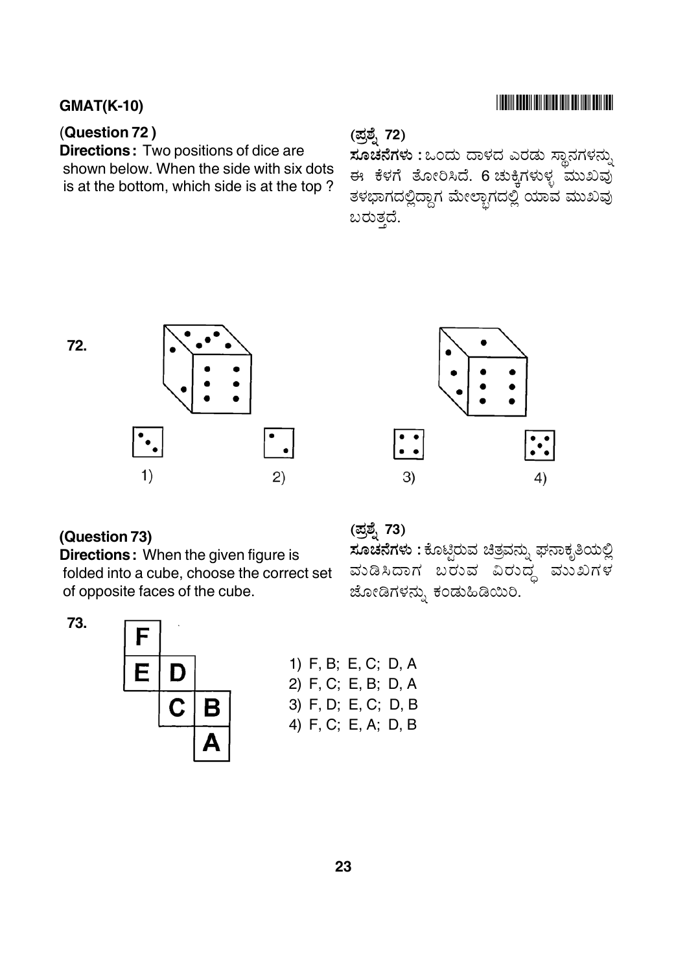## $GMAT(K-10)$

## (**Question 72 )**

**Directions:** Two positions of dice are shown below. When the side with six dots is at the bottom, which side is at the top ?

# (ಪ್ರಶ್ನೆ **72**)

**ಸೂಚನೆಗಳು :** ಒಂದು ದಾಳದ ಎರಡು ಸ್ಥಾನಗಳನ್ನು ಈ ಕೆಳಗೆ ತೋರಿಸಿದೆ. 6 ಚುಕ್ಕಿಗಳುಳ್ಳ ಮುಖವು ತಳಭಾಗದಲ್ಲಿದ್ದಾಗ ಮೇಲ್ಭಾಗದಲ್ಲಿ ಯಾವ ಮುಖವು \_ a ಬರುತ್ತದೆ.

**72.**





#### **(Question 73)**

**Directions:** When the given figure is folded into a cube, choose the correct set of opposite faces of the cube.

(ಪ್ರಶ್ನೆ <mark>73</mark>)

<mark>ಸೂಚನೆಗಳು :</mark> ಕೊಟ್ಟಿರುವ ಚಿತ್ರವನ್ನು ಘನಾಕೃತಿಯಲ್ಲಿ ವುಡಿಸಿದಾಗ ಬರುವ ವಿರುದ್ಧ ಮುಖಗಳ ಜೋಡಿಗಳನ್ನು ಕಂಡುಹಿಡಿಯಿರಿ.

**73.**



|  | 1) F, B; E, C; D, A |  |
|--|---------------------|--|
|  | 2) F, C; E, B; D, A |  |
|  | 3) F, D; E, C; D, B |  |
|  | 4) F, C; E, A; D, B |  |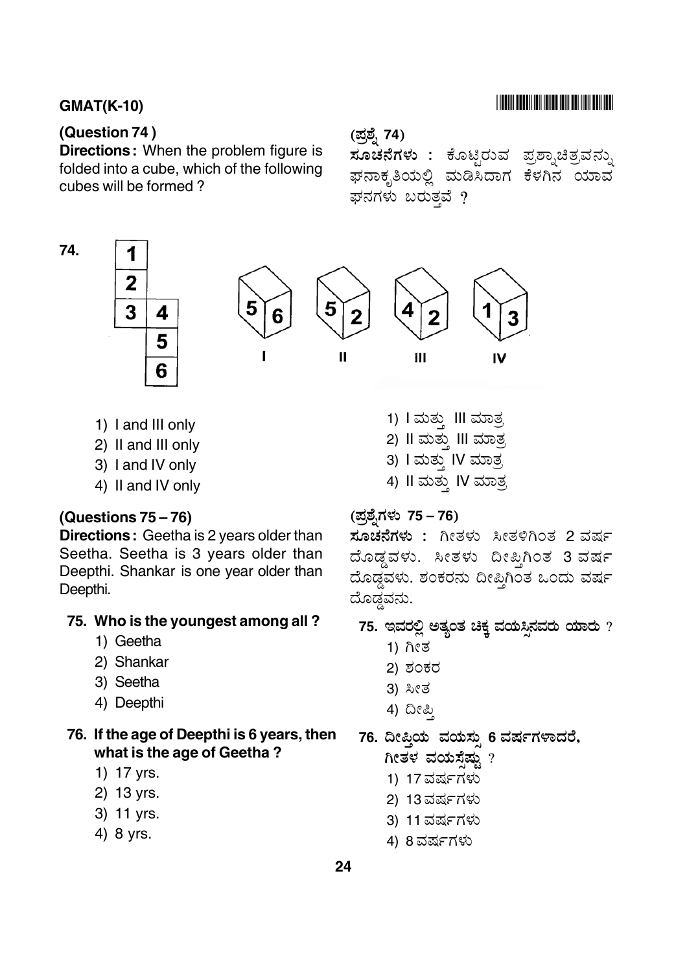#### (Question 74)

74.

**Directions:** When the problem figure is folded into a cube, which of the following cubes will be formed?

## 

#### (ಪ್ರಶ್ನೆ 74)

ಸೂಚನೆಗಳು : ಕೊಟ್ಟಿರುವ ಪ್ರಶ್ನಾಚಿತ್ರವನ್ನು ಘನಾಕೃತಿಯಲ್ಲಿ ಮಡಿಸಿದಾಗ ಕೆಳಗಿನ ಯಾವ ಘನಗಳು ಬರುತ್ತವೆ ?



1) I and III only

3

- 2) II and III only
- 3) I and IV only
- 4) II and IV only

#### (Questions  $75-76$ )

Directions: Geetha is 2 years older than Seetha. Seetha is 3 years older than Deepthi. Shankar is one year older than Deepthi.

#### 75. Who is the youngest among all?

- 1) Geetha
- 2) Shankar
- 3) Seetha
- 4) Deepthi

#### 76. If the age of Deepthi is 6 years, then what is the age of Geetha?

- 1) 17 yrs.
- 2) 13 yrs.
- 3) 11 yrs.
- 4) 8 yrs.

1) I ಮತ್ತು III ಮಾತ್ರ 2) Il ಮತು III ಮಾತ್ರ 3) I ಮತು IV ಮಾತ್ರ 4) II ಮತ್ತು IV ಮಾತ್ರ

(ಪ್ರಶೈಗಳು 75 – 76)

ಸೂಚನೆಗಳು : ಗೀತಳು ಸೀತಳಿಗಿಂತ 2 ವರ್ಷ ದೊಡ್ಡವಳು. ಸೀತಳು ದೀಪಿಗಿಂತ 3 ವರ್ಷ ದೊಡ್ಡವಳು. ಶಂಕರನು ದೀಪ್ತಿಗಿಂತ ಒಂದು ವರ್ಷ ದೊಡ್ಡವನು.

75. ಇವರಲ್ಲಿ ಅತ್ಯಂತ ಚಿಕ್ಕ ವಯಸ್ಸಿನವರು ಯಾರು ?

- 1) ಗೀತ
- 2) ಶಂಕರ
- 3) ಸೀತ
- 4) ದೀಪ್ತಿ

76. ದೀಪ್ತಿಯ ವಯಸ್ಸು 6 ವರ್ಷಗಳಾದರೆ, ಗೀತಳ ವಯಸೆಷ್ಟು ?

- 1) 17 ವರ್ಷಗಳು
- 2) 13 ವರ್ಷಗಳು
- 3) 11 ವರ್ಷಗಳು
- 4) 8 ವರ್ಷಗಳು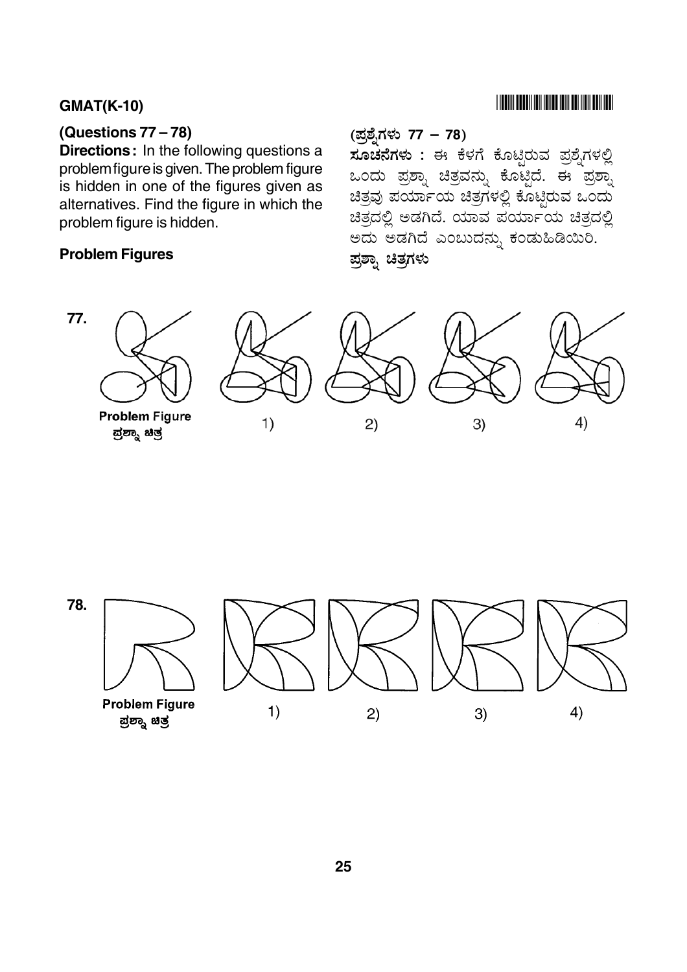## (Questions 77 - 78)

**Directions:** In the following questions a problem figure is given. The problem figure is hidden in one of the figures given as alternatives. Find the figure in which the problem figure is hidden.

### **Problem Figures**

# **THE RIVER BELLEVILLE IN THE RIVER OF A SET OF A SET OF A SET OF A SET OF A SET OF A SET OF A SET OF A SET OF A**

(ಪ್ರಶ್ನೆಗಳು 77 – 78)

ಸೂಚನೆಗಳು : ಈ ಕೆಳಗೆ ಕೊಟ್ಟಿರುವ ಪ್ರಶೈಗಳಲ್ಲಿ ಒಂದು ಪ್ರಶ್ನಾ ಚಿತ್ರವನ್ನು ಕೊಟ್ಟಿದೆ. ಈ ಪ್ರಶ್ನಾ ಚಿತ್ರವು ಪರ್ಯಾಯ ಚಿತ್ರಗಳಲ್ಲಿ ಕೊಟ್ಟರುವ ಒಂದು ಚಿತ್ರದಲ್ಲಿ ಅಡಗಿದೆ. ಯಾವ ಪರ್ಯಾಯ ಚಿತ್ರದಲ್ಲಿ ಅದು ಅಡಗಿದೆ ಎಂಬುದನ್ನು ಕಂಡುಹಿಡಿಯಿರಿ. ಪ್ರಶ್ರಾ ಚಿತ್ರಗಳು



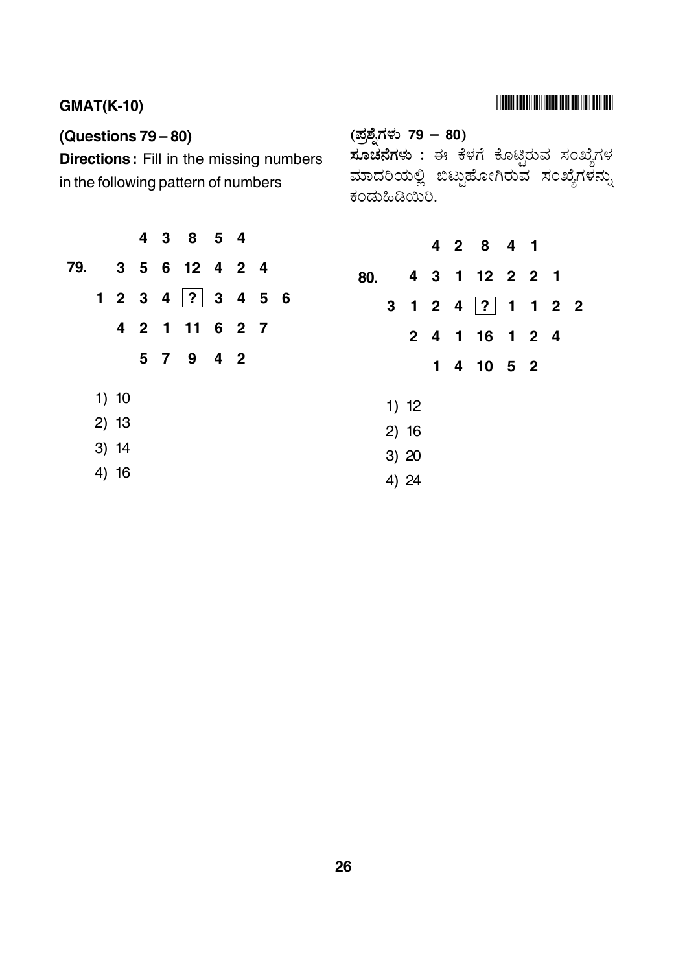# **THE WAS EXTENDED IN A 1999 ON A 1999 POINT AND A**

# **GMAT(K-10)**

# (Questions 79 - 80)

Directions: Fill in the missing numbers in the following pattern of numbers

| (ಪ್ರಶ್ನೆಗಳು 79 – 80) |  |  |  |  |
|----------------------|--|--|--|--|
|----------------------|--|--|--|--|

, ಸೂ<mark>ಚನೆಗಳು :</mark> ಈ ಕೆಳಗೆ ಕೊಟ್ಟಿರುವ ಸಂಖ್ಯೆಗಳ<br>ಮಾದರಿಯಲ್ಲಿ ಬಿಟ್ಟುಹೋಗಿರುವ ಸಂಖ್ಯೆಗಳನ್ನು ಕಂಡುಹಿಡಿಯಿರಿ.

|     |         |  | 4 3 8 5 4          |  |  |  |  |
|-----|---------|--|--------------------|--|--|--|--|
| 79. |         |  | 3 5 6 12 4 2 4     |  |  |  |  |
|     |         |  | 1 2 3 4  ? 3 4 5 6 |  |  |  |  |
|     |         |  | 4 2 1 11 6 2 7     |  |  |  |  |
|     |         |  | 5 7 9 4 2          |  |  |  |  |
|     | 1) 10   |  |                    |  |  |  |  |
|     | 2) 13   |  |                    |  |  |  |  |
|     | $3)$ 14 |  |                    |  |  |  |  |
|     | 4) 16   |  |                    |  |  |  |  |

|     |                |       |  | 4 2 8 4 1          |  |  |
|-----|----------------|-------|--|--------------------|--|--|
| 80. |                |       |  | 4 3 1 12 2 2 1     |  |  |
|     | 3 <sup>1</sup> |       |  | 1 2 4 $ ?$ 1 1 2 2 |  |  |
|     |                |       |  | 2 4 1 16 1 2 4     |  |  |
|     |                |       |  | 1 4 10 5 2         |  |  |
|     |                |       |  |                    |  |  |
|     |                | 1) 12 |  |                    |  |  |
|     |                | 2)16  |  |                    |  |  |
|     |                | 3) 20 |  |                    |  |  |
|     |                | 4) 24 |  |                    |  |  |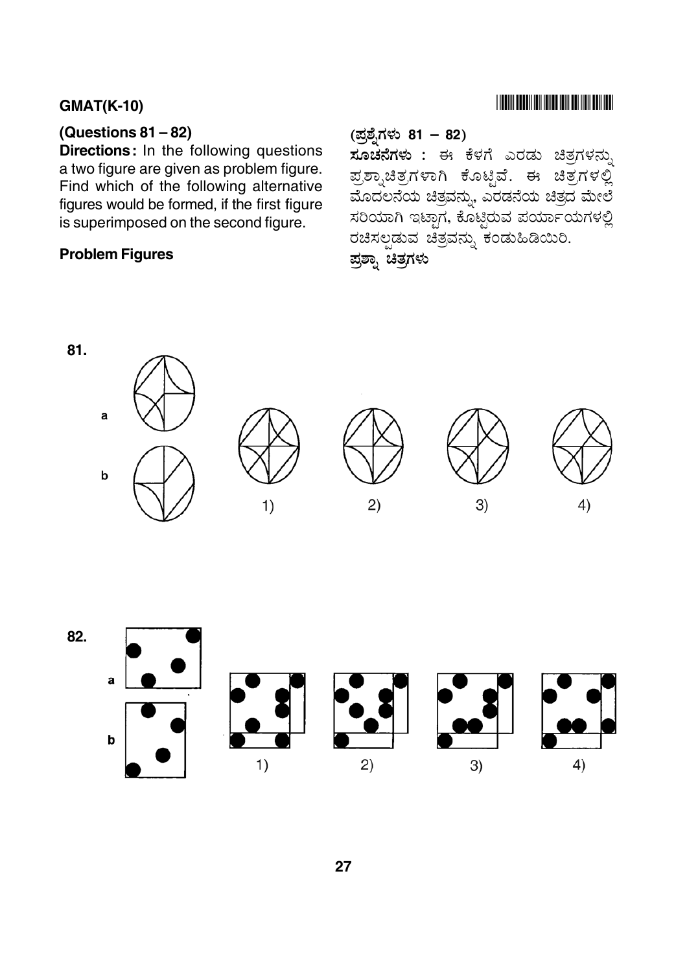## (Questions  $81 - 82$ )

Directions: In the following questions a two figure are given as problem figure. Find which of the following alternative figures would be formed, if the first figure is superimposed on the second figure.

## **Problem Figures**

## 

#### (ಪ್ರಶ್ನೆಗಳು 81 – 82)

ಸೂಚನೆಗಳು : ಈ ಕೆಳಗೆ ಎರಡು ಚಿತ್ರಗಳನ್ನು ಪ್ರಶ್ನಾಚಿತ್ರಗಳಾಗಿ ಕೊಟ್ಟಿವೆ. ಈ ಚಿತ್ರಗಳಲ್ಲಿ ಮೊದಲನೆಯ ಚಿತ್ರವನ್ನು, ಎರಡನೆಯ ಚಿತ್ರದ ಮೇಲೆ ಸರಿಯಾಗಿ ಇಟ್ಟಾಗ, ಕೊಟ್ಟರುವ ಪರ್ಯಾಯಗಳಲ್ಲಿ ರಚಿಸಲ್ಪಡುವ ಚಿತ್ರವನ್ನು ಕಂಡುಹಿಡಿಯಿರಿ. ಪ್ರಶ್ನಾ ಚಿತ್ರಗಳು



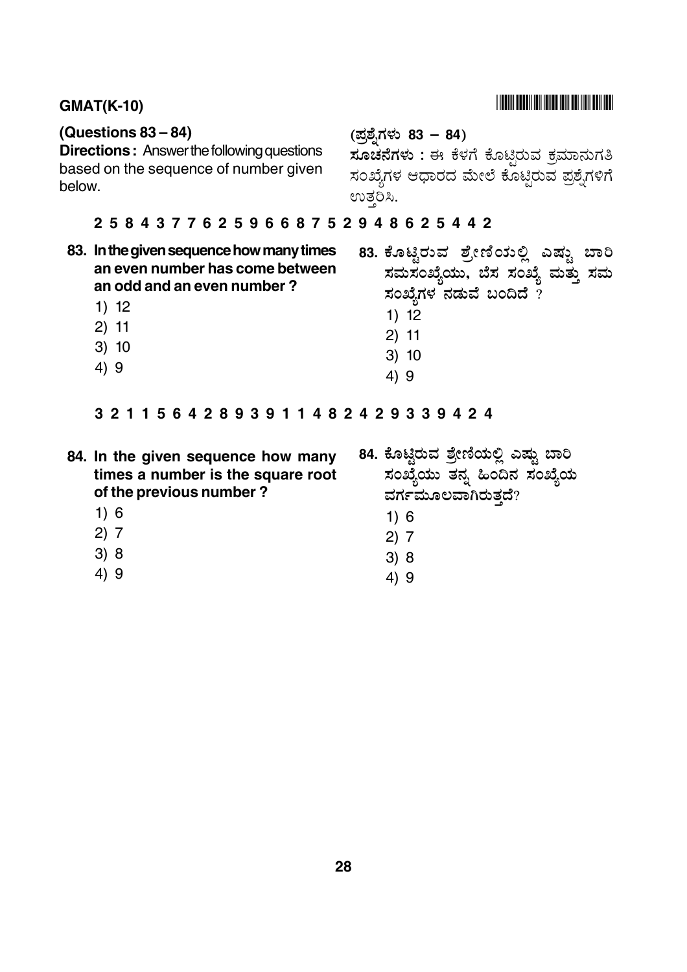#### $GMAT(K-10)$

#### **(Questions 83 – 84)**

**Directions:** Answer the following questions based on the sequence of number given below.

# (ಪ್ರಶ್ನೆಗಳು 83 – 84)

 6 & ' 7C -  - !" -/  @ ಸಂಖ್ಯೆಗಳ ಆಧಾರದ ಮೇಲೆ ಕೊಟ್ಟಿರುವ ಪ್ರಶ್ನೆಗಳಿಗೆ enzo2.

## **25843776259668752948625442**

- **83. In the given sequence how many times an even number has come between an odd and an even number ?**
	- 1) 12
	- 2) 11
	- 3) 10
	- 4) 9
- .<br>83. ಕೊಟ್ಟಿರುವ ಶ್ರೇಣಿಯಲ್ಲಿ ಎಷ್ಟು ಬಾರಿ ಸಮಸಂಖ್ಯೆಯು, ಬೆಸ ಸಂಖ್ಯೆ ಮತ್ತು ಸಮ ಸಂಖ್ಯೆಗಳ $\,$ ನಡುವೆ ಬಂದಿದೆ ?
	- 1) 12
	- 2) 11
	- 3) 10
	- 4) 9

#### **32115642893911482429339424**

- **84. In the given sequence how many times a number is the square root of the previous number ?**
	- 1) 6
	- 2) 7
	- 3) 8
	- 4) 9
- 84. ಕೊಟ್ಟಿರುವ ಶ್ರೇಣಿಯಲ್ಲಿ ಎಷ್ಟು ಬಾರಿ ಸಂಖ್ಯೆಯು ತನ್ನ ಹಿಂದಿನ ಸಂಖ್ಯೆಯ ವರ್ಗಮೂಲವಾಗಿರುತದೆ?
	- 1) 6
	- 2) 7
	- 3) 8
	- 4) 9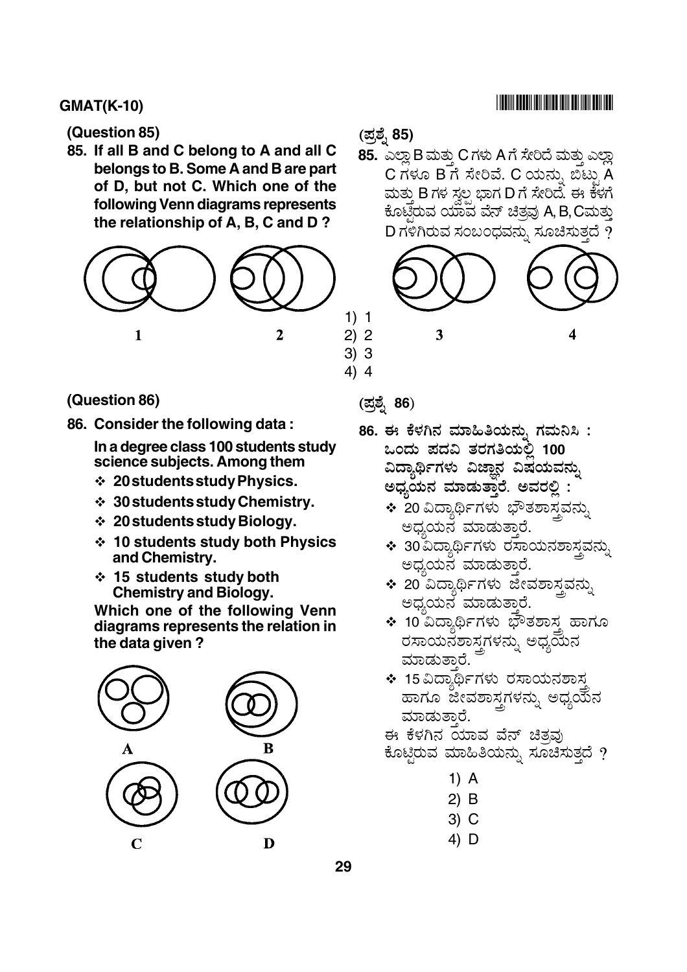#### (Question 85)

85. If all B and C belong to A and all C belongs to B. Some A and B are part of D, but not C. Which one of the following Venn diagrams represents the relationship of A, B, C and D?



#### (Question 86)

86. Consider the following data:

In a degree class 100 students study science subjects. Among them

- ❖ 20 students study Physics.
- $\div$  30 students study Chemistry.
- $\div$  20 students study Biology.
- ❖ 10 students study both Physics and Chemistry.
- ❖ 15 students study both **Chemistry and Biology.**

Which one of the following Venn diagrams represents the relation in the data given?



### (ಪ್ರಶ್ನೆ 85)

85. ಎಲ್ಲಾ B ಮತು C ಗಳು A ಗೆ ಸೇರಿದೆ ಮತು ಎಲ್ಲಾ C ಗಳೂ B ಗೆ ಸೇರಿವೆ. C ಯನು, ಬಿಟ್ಟು A ಮತ್ತು B ಗಳ ಸ್ತಲ್ಪ ಭಾಗ D ಗೆ ಸೇರಿದೆ. ಈ ಕೆಳಗೆ ಕೊಟಿರುವ ಯಾವ ವೆನ್ ಚಿತ್ತವು A, B, Cಮತ್ತು D ಗಳಿಗಿರುವ ಸಂಬಂಧವನ್ನು ಸೂಚಿಸುತ್ತದೆ ?



## (ಪ್ರಶ್ನೆ **86**)

 $4) 4$ 

- 86. ಈ ಕೆಳಗಿನ ಮಾಹಿತಿಯನು, ಗಮನಿಸಿ : ಒಂದು ಪದವಿ ತರಗತಿಯಲಿ 100 ವಿದ್ಯಾರ್ಥಿಗಳು ವಿಜಾನ ವಿಷಯವನ್ನು ಅಧ್ಯಯನ ಮಾಡುತ್ತಾರೆ. ಅವರಲ್ಲಿ
	- ❖ 20 ವಿದ್ಯಾರ್ಥಿಗಳು ಭೌತಶಾಸ್ತ್ರವನ್ನು ಅದ್ವಯನ ಮಾಡುತಾರೆ.
	- ❖ 30 ವಿದ್ಯಾರ್ಥಿಗಳು ರಸಾಯನಶಾಸವನು, ಅಧ್ಯಯನ ಮಾಡುತಾರೆ.
	- ❖ 20 ವಿದ್ಯಾರ್ಥಿಗಳು ಜೀವಶಾಸ್ತವನ್ನು ಅಧ್ಯಯನ ಮಾಡುತ್ತಾರೆ.
	- ❖ 10 ವಿದ್ಯಾರ್ಥಿಗಳು ಭೌತಶಾಸ್ತ್ರ ಹಾಗೂ ರಸಾಯನಶಾಸ್ತಗಳನ್ನು ಅಧ್ಯಯನ ಮಾಡುತಾರೆ.
	- ❖ 15 ವಿದ್ಯಾರ್ಥಿಗಳು ರಸಾಯನಶಾಸ ಹಾಗೂ ಜೀವಶಾಸ್ತ್ರಗಳನ್ನು ಅಧ್ಯಯನ ಮಾಡುತಾರೆ.
	- ಈ ಕೆಳಗಿನ ಯಾವ ವೆನ್ ಚಿತ್ತವು
	- ಕೊಟ್ಟಿರುವ ಮಾಹಿತಿಯನ್ನು ಸೂಚಿಸುತ್ತದೆ ?
		- 1)  $A$
		- $2)$  B
		- 3) C
		- 4) D
- 

##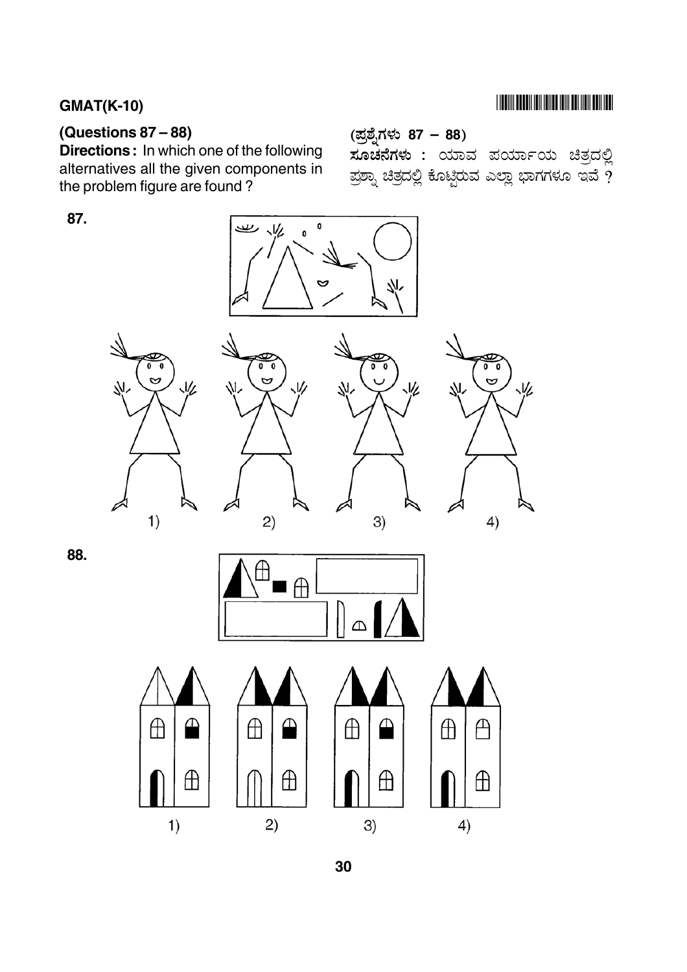# **THE RIVER BELLEVILLE IN THE RIVER OF A SET OF A SET OF A SET OF A SET OF A SET OF A SET OF A SET OF A SET OF A**

## (Questions  $87 - 88$ )

**Directions:** In which one of the following alternatives all the given components in the problem figure are found?

# 87.



(ಪ್ರಶ್ನೆಗಳು 87 – 88)



 $\oplus$ 





ಸೂಚನೆಗಳು : ಯಾವ ಪರ್ಯಾಯ ಚಿತ್ರದಲ್ಲಿ

ಪ್ರಶ್ನಾ ಚಿತ್ರದಲ್ಲಿ ಕೊಟ್ಟಿರುವ ಎಲ್ಲಾ ಭಾಗಗಳೂ ಇವೆ  $\overline{\gamma}$ 

88.



 $3)$ 

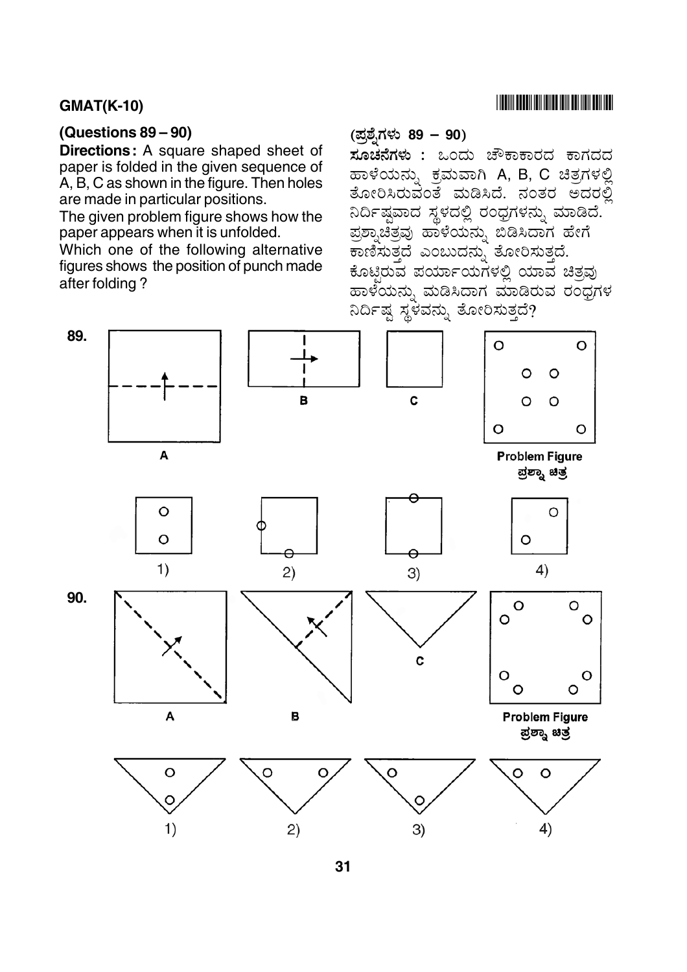## (Questions  $89 - 90$ )

**Directions:** A square shaped sheet of paper is folded in the given sequence of A, B, C as shown in the figure. Then holes are made in particular positions.

The given problem figure shows how the paper appears when it is unfolded.

Which one of the following alternative figures shows the position of punch made after folding?

## (ಪ್ರಶ್ನೆಗಳು 89 – 90)

**ಸೂಚನೆಗಳು :** ಒಂದು ಚೌಕಾಕಾರದ ಕಾಗದದ ಹಾಳೆಯನ್ನು ಕ್ರಮವಾಗಿ A, B, C ಚಿತ್ರಗಳಲ್ಲಿ ತೋರಿಸಿರುವಂತೆ ಮಡಿಸಿದೆ. ನಂತರ ಅದರಲ್ಲಿ ನಿರ್ದಿಷ್ಠವಾದ ಸ್ಥಳದಲ್ಲಿ ರಂಧ್ರಗಳನ್ನು ಮಾಡಿದೆ. ಪ್ರಶ್ನಾಚಿತ್ರವು ಹಾಳೆಯನ್ನು ಬಿಡಿಸಿದಾಗ ಹೇಗೆ ಕಾಣಿಸುತ್ತದೆ ಎಂಬುದನ್ನು ತೋರಿಸುತ್ತದೆ. ಕೊಟಿರುವ ಪರ್ಯಾಯಗಳಲ್ಲಿ ಯಾವ ಚಿತ್ನವು ಹಾಳೆಯನು, ಮಡಿಸಿದಾಗ ಮಾಡಿರುವ ರಂಧಗಳ ನಿರ್ದಿಷ್ಠ ಸ್ಥಳವನ್ನು ತೋರಿಸುತ್ತದೆ?



 $31$